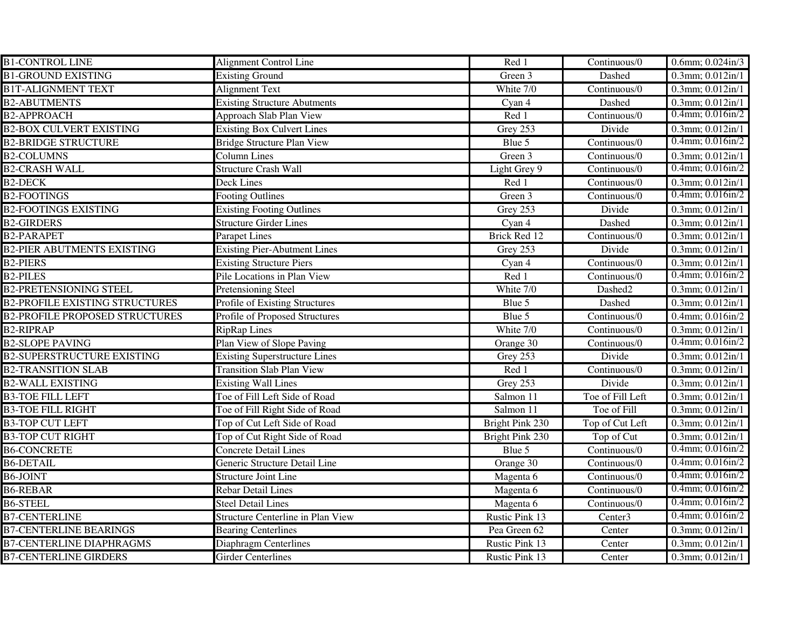| <b>B1-CONTROL LINE</b>                | Alignment Control Line               | Red 1                | Continuous/0        | $0.6$ mm; $0.024$ in/3 |
|---------------------------------------|--------------------------------------|----------------------|---------------------|------------------------|
| <b>B1-GROUND EXISTING</b>             | <b>Existing Ground</b>               | Green 3              | Dashed              | 0.3mm; 0.012in/1       |
| <b>B1T-ALIGNMENT TEXT</b>             | <b>Alignment Text</b>                | White 7/0            | Continuous/0        | $0.3$ mm; $0.012$ in/1 |
| <b>B2-ABUTMENTS</b>                   | <b>Existing Structure Abutments</b>  | Cyan 4               | Dashed              | $0.3$ mm; $0.012$ in/1 |
| <b>B2-APPROACH</b>                    | <b>Approach Slab Plan View</b>       | Red 1                | Continuous/0        | $0.4$ mm; $0.016$ in/2 |
| <b>B2-BOX CULVERT EXISTING</b>        | <b>Existing Box Culvert Lines</b>    | Grey 253             | Divide              | $0.3$ mm; $0.012$ in/1 |
| <b>B2-BRIDGE STRUCTURE</b>            | <b>Bridge Structure Plan View</b>    | Blue 5               | Continuous/0        | $0.4$ mm; $0.016$ in/2 |
| <b>B2-COLUMNS</b>                     | <b>Column Lines</b>                  | Green $\overline{3}$ | Continuous/0        | $0.3$ mm; $0.012$ in/1 |
| <b>B2-CRASH WALL</b>                  | <b>Structure Crash Wall</b>          | Light Grey 9         | Continuous/0        | $0.4$ mm; $0.016$ in/2 |
| <b>B2-DECK</b>                        | <b>Deck Lines</b>                    | Red 1                | Continuous/0        | $0.3$ mm; $0.012$ in/1 |
| <b>B2-FOOTINGS</b>                    | <b>Footing Outlines</b>              | Green 3              | Continuous/0        | $0.4$ mm; $0.016$ in/2 |
| <b>B2-FOOTINGS EXISTING</b>           | <b>Existing Footing Outlines</b>     | Grey 253             | Divide              | $0.3$ mm; $0.012$ in/1 |
| <b>B2-GIRDERS</b>                     | <b>Structure Girder Lines</b>        | Cyan 4               | Dashed              | $0.3$ mm; $0.012$ in/1 |
| <b>B2-PARAPET</b>                     | <b>Parapet Lines</b>                 | Brick Red 12         | Continuous/0        | 0.3mm; 0.012in/1       |
| <b>B2-PIER ABUTMENTS EXISTING</b>     | <b>Existing Pier-Abutment Lines</b>  | Grey 253             | Divide              | $0.3$ mm; $0.012$ in/1 |
| <b>B2-PIERS</b>                       | <b>Existing Structure Piers</b>      | Cyan 4               | Continuous/0        | 0.3mm; 0.012in/1       |
| <b>B2-PILES</b>                       | Pile Locations in Plan View          | Red 1                | Continuous/0        | $0.4$ mm; $0.016$ in/2 |
| <b>B2-PRETENSIONING STEEL</b>         | Pretensioning Steel                  | White 7/0            | Dashed2             | 0.3mm; 0.012in/1       |
| <b>B2-PROFILE EXISTING STRUCTURES</b> | Profile of Existing Structures       | Blue 5               | Dashed              | $0.3$ mm; $0.012$ in/1 |
| <b>B2-PROFILE PROPOSED STRUCTURES</b> | Profile of Proposed Structures       | Blue 5               | Continuous/0        | 0.4mm; 0.016in/2       |
| <b>B2-RIPRAP</b>                      | <b>RipRap Lines</b>                  | White 7/0            | Continuous/0        | $0.3$ mm; $0.012$ in/1 |
| <b>B2-SLOPE PAVING</b>                | Plan View of Slope Paving            | Orange 30            | Continuous/0        | $0.4$ mm; $0.016$ in/2 |
| <b>B2-SUPERSTRUCTURE EXISTING</b>     | <b>Existing Superstructure Lines</b> | Grey 253             | Divide              | 0.3mm; 0.012in/1       |
| <b>B2-TRANSITION SLAB</b>             | <b>Transition Slab Plan View</b>     | Red 1                | Continuous/0        | 0.3mm; 0.012in/1       |
| <b>B2-WALL EXISTING</b>               | <b>Existing Wall Lines</b>           | Grey 253             | Divide              | $0.3$ mm; $0.012$ in/1 |
| <b>B3-TOE FILL LEFT</b>               | Toe of Fill Left Side of Road        | Salmon 11            | Toe of Fill Left    | 0.3mm; 0.012in/1       |
| <b>B3-TOE FILL RIGHT</b>              | Toe of Fill Right Side of Road       | Salmon 11            | Toe of Fill         | 0.3mm; 0.012in/1       |
| <b>B3-TOP CUT LEFT</b>                | Top of Cut Left Side of Road         | Bright Pink 230      | Top of Cut Left     | $0.3$ mm; $0.012$ in/1 |
| <b>B3-TOP CUT RIGHT</b>               | Top of Cut Right Side of Road        | Bright Pink 230      | Top of Cut          | $0.3$ mm; $0.012$ in/1 |
| <b>B6-CONCRETE</b>                    | <b>Concrete Detail Lines</b>         | Blue 5               | Continuous/0        | $0.4$ mm; $0.016$ in/2 |
| <b>B6-DETAIL</b>                      | Generic Structure Detail Line        | Orange 30            | Continuous/0        | $0.4$ mm; $0.016$ in/2 |
| B6-JOINT                              | <b>Structure Joint Line</b>          | Magenta 6            | Continuous/0        | $0.4$ mm; $0.016$ in/2 |
| <b>B6-REBAR</b>                       | <b>Rebar Detail Lines</b>            | Magenta 6            | Continuous/0        | $0.4$ mm; $0.016$ in/2 |
| <b>B6-STEEL</b>                       | <b>Steel Detail Lines</b>            | Magenta 6            | Continuous/0        | $0.4$ mm; $0.016$ in/2 |
| <b>B7-CENTERLINE</b>                  | Structure Centerline in Plan View    | Rustic Pink 13       | Center <sub>3</sub> | $0.4$ mm; $0.016$ in/2 |
| <b>B7-CENTERLINE BEARINGS</b>         | <b>Bearing Centerlines</b>           | Pea Green 62         | Center              | $0.3$ mm; $0.012$ in/1 |
| <b>B7-CENTERLINE DIAPHRAGMS</b>       | Diaphragm Centerlines                | Rustic Pink 13       | Center              | $0.3$ mm; $0.012$ in/1 |
| <b>B7-CENTERLINE GIRDERS</b>          | <b>Girder Centerlines</b>            | Rustic Pink 13       | Center              | $0.3$ mm; $0.012$ in/1 |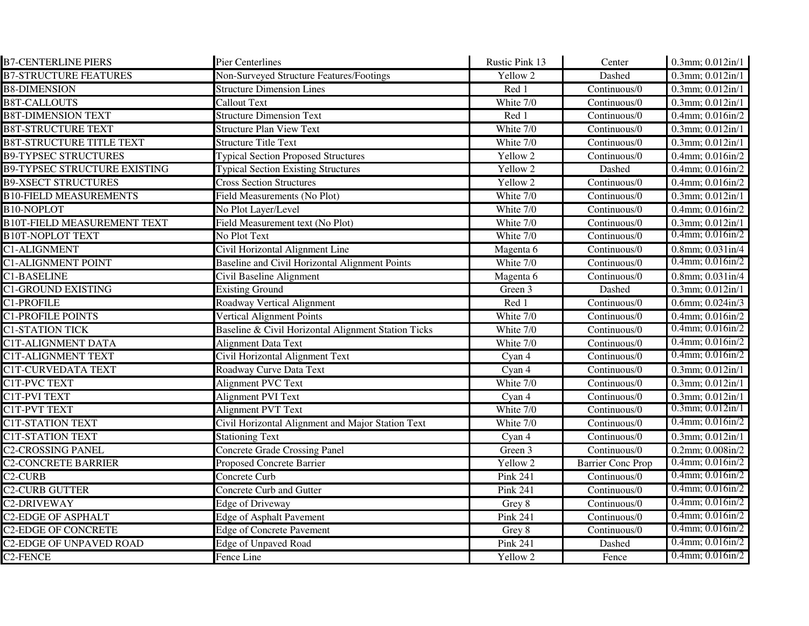| <b>B7-CENTERLINE PIERS</b>          | <b>Pier Centerlines</b>                             | Rustic Pink 13               | Center                   | 0.3mm; 0.012in/1                             |
|-------------------------------------|-----------------------------------------------------|------------------------------|--------------------------|----------------------------------------------|
| <b>B7-STRUCTURE FEATURES</b>        | Non-Surveyed Structure Features/Footings            | Yellow 2                     | Dashed                   | 0.3mm; 0.012in/1                             |
| <b>B8-DIMENSION</b>                 | <b>Structure Dimension Lines</b>                    | Red 1                        | Continuous/0             | 0.3mm; 0.012in/1                             |
| <b>B8T-CALLOUTS</b>                 | <b>Callout Text</b>                                 | White 7/0                    | Continuous/0             | 0.3mm; 0.012in/1                             |
| <b>B8T-DIMENSION TEXT</b>           | <b>Structure Dimension Text</b>                     | Red 1                        | Continuous/0             | $0.4$ mm; $0.016$ in/2                       |
| <b>B8T-STRUCTURE TEXT</b>           | <b>Structure Plan View Text</b>                     | White 7/0                    | Continuous/0             | $0.3$ mm; $0.012$ in/1                       |
| <b>B8T-STRUCTURE TITLE TEXT</b>     | <b>Structure Title Text</b>                         | White 7/0                    | Continuous/0             | $0.3$ mm; $0.012$ in/1                       |
| <b>B9-TYPSEC STRUCTURES</b>         | <b>Typical Section Proposed Structures</b>          | Yellow 2                     | Continuous/0             | $0.4$ mm; $0.016$ in/2                       |
| <b>B9-TYPSEC STRUCTURE EXISTING</b> | <b>Typical Section Existing Structures</b>          | Yellow 2                     | Dashed                   | $0.4$ mm; $0.016$ in/2                       |
| <b>B9-XSECT STRUCTURES</b>          | <b>Cross Section Structures</b>                     | Yellow 2                     | Continuous/0             | $0.4$ mm; $0.016$ in/2                       |
| <b>B10-FIELD MEASUREMENTS</b>       | Field Measurements (No Plot)                        | White 7/0                    | Continuous/0             | 0.3mm; 0.012in/1                             |
| <b>B10-NOPLOT</b>                   | No Plot Layer/Level                                 | White 7/0                    | Continuous/0             | $0.4$ mm; $0.016$ in/2                       |
| <b>B10T-FIELD MEASUREMENT TEXT</b>  | Field Measurement text (No Plot)                    | White 7/0                    | Continuous/0             | 0.3mm; 0.012in/1                             |
| <b>B10T-NOPLOT TEXT</b>             | No Plot Text                                        | White 7/0                    | Continuous/0             | $0.4$ mm; $0.016$ in/2                       |
| C1-ALIGNMENT                        | Civil Horizontal Alignment Line                     | Magenta 6                    | Continuous/0             | 0.8mm; 0.031in/4                             |
| <b>C1-ALIGNMENT POINT</b>           | Baseline and Civil Horizontal Alignment Points      | White 7/0                    | Continuous/0             | $0.4$ mm; $0.016$ in/2                       |
| <b>C1-BASELINE</b>                  | Civil Baseline Alignment                            | Magenta 6                    | Continuous/0             | $0.8$ mm; $0.031$ in/4                       |
| <b>C1-GROUND EXISTING</b>           | <b>Existing Ground</b>                              | Green 3                      | Dashed                   | 0.3mm; 0.012in/1                             |
| C1-PROFILE                          | Roadway Vertical Alignment                          | Red 1                        | Continuous/0             | $0.6$ mm; $0.024$ in/3                       |
| <b>C1-PROFILE POINTS</b>            | <b>Vertical Alignment Points</b>                    | White 7/0                    | Continuous/0             | $\overline{0.4mm}$ ; $\overline{0.016}$ in/2 |
| <b>C1-STATION TICK</b>              | Baseline & Civil Horizontal Alignment Station Ticks | White 7/0                    | Continuous/0             | $0.4$ mm; $0.016$ in/2                       |
| <b>C1T-ALIGNMENT DATA</b>           | <b>Alignment Data Text</b>                          | White 7/0                    | Continuous/0             | $0.4$ mm; $0.016$ in/2                       |
| <b>C1T-ALIGNMENT TEXT</b>           | Civil Horizontal Alignment Text                     | Cyan 4                       | Continuous/0             | $0.4$ mm; $0.016$ in/2                       |
| <b>C1T-CURVEDATA TEXT</b>           | Roadway Curve Data Text                             | Cyan 4                       | Continuous/0             | 0.3mm; 0.012in/1                             |
| C1T-PVC TEXT                        | Alignment PVC Text                                  | White 7/0                    | Continuous/0             | $0.3$ mm; $0.012$ in/1                       |
| C1T-PVI TEXT                        | Alignment PVI Text                                  | Cyan 4                       | Continuous/0             | 0.3mm; 0.012in/1                             |
| <b>C1T-PVT TEXT</b>                 | <b>Alignment PVT Text</b>                           | White 7/0                    | Continuous/0             | $0.3$ mm; $0.012$ in/1                       |
| <b>C1T-STATION TEXT</b>             | Civil Horizontal Alignment and Major Station Text   | White 7/0                    | Continuous/0             | $0.4$ mm; $0.016$ in/2                       |
| <b>C1T-STATION TEXT</b>             | <b>Stationing Text</b>                              | Cyan 4                       | Continuous/0             | $0.3$ mm; $0.012$ in/1                       |
| <b>C2-CROSSING PANEL</b>            | <b>Concrete Grade Crossing Panel</b>                | Green 3                      | Continuous/0             | $0.2$ mm; $0.008$ in/2                       |
| <b>C2-CONCRETE BARRIER</b>          | Proposed Concrete Barrier                           | Yellow 2                     | <b>Barrier Conc Prop</b> | $0.4$ mm; $0.016$ in/2                       |
| C <sub>2</sub> -CURB                | Concrete Curb                                       | $\overline{\text{Pink}}$ 241 | Continuous/0             | $0.4$ mm; $0.016$ in/2                       |
| <b>C2-CURB GUTTER</b>               | Concrete Curb and Gutter                            | Pink 241                     | Continuous/0             | $0.4$ mm; $0.016$ in/2                       |
| <b>C2-DRIVEWAY</b>                  | <b>Edge of Driveway</b>                             | Grey 8                       | Continuous/0             | $0.4$ mm; $0.016$ in/2                       |
| <b>C2-EDGE OF ASPHALT</b>           | <b>Edge of Asphalt Pavement</b>                     | <b>Pink 241</b>              | Continuous/0             | $0.4$ mm; $0.016$ in/2                       |
| <b>C2-EDGE OF CONCRETE</b>          | <b>Edge of Concrete Pavement</b>                    | Grey 8                       | Continuous/0             | $0.4$ mm; $0.016$ in/2                       |
| <b>C2-EDGE OF UNPAVED ROAD</b>      | <b>Edge of Unpaved Road</b>                         | Pink 241                     | Dashed                   | $0.4$ mm; $0.016$ in/2                       |
| C <sub>2</sub> -FENCE               | Fence Line                                          | Yellow 2                     | Fence                    | $0.4$ mm; $0.016$ in/2                       |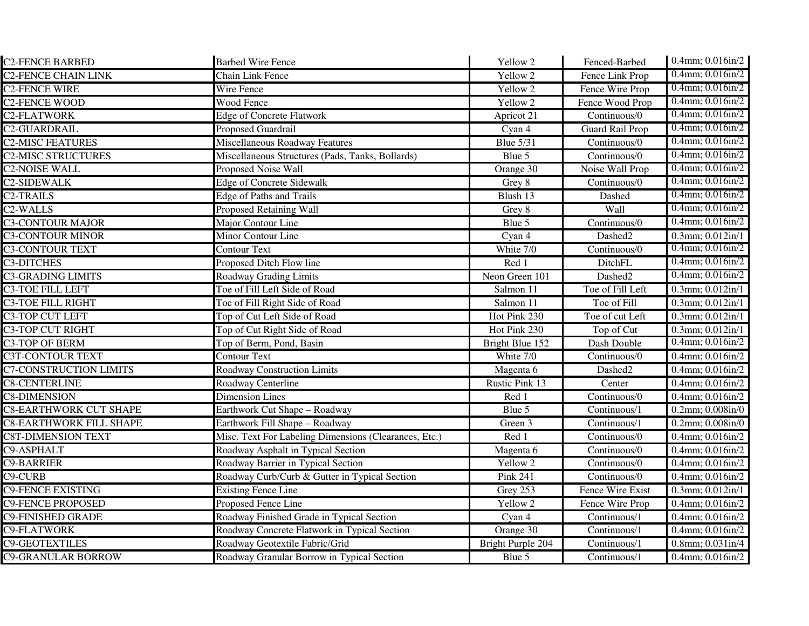| <b>C2-FENCE BARBED</b>         | <b>Barbed Wire Fence</b>                              | Yellow 2          | Fenced-Barbed                     | $0.4$ mm; $0.016$ in/2    |
|--------------------------------|-------------------------------------------------------|-------------------|-----------------------------------|---------------------------|
| <b>C2-FENCE CHAIN LINK</b>     | Chain Link Fence                                      | Yellow 2          | Fence Link Prop                   | $0.4$ mm; $0.016$ in/2    |
| <b>C2-FENCE WIRE</b>           | Wire Fence                                            | Yellow 2          | Fence Wire Prop                   | $0.4$ mm; $0.016$ in/2    |
| <b>C2-FENCE WOOD</b>           | Wood Fence                                            | Yellow 2          | Fence Wood Prop                   | $0.4$ mm; $0.016$ in/2    |
| <b>C2-FLATWORK</b>             | <b>Edge of Concrete Flatwork</b>                      | Apricot 21        | Continuous/0                      | $0.4$ mm; $0.016$ in/2    |
| <b>C2-GUARDRAIL</b>            | <b>Proposed Guardrail</b>                             | Cyan 4            | <b>Guard Rail Prop</b>            | $0.4$ mm; $0.016$ in/2    |
| <b>C2-MISC FEATURES</b>        | Miscellaneous Roadway Features                        | <b>Blue 5/31</b>  | $\overline{\text{Continuous}}$ /0 | $0.4$ mm; $0.016$ in/2    |
| <b>C2-MISC STRUCTURES</b>      | Miscellaneous Structures (Pads, Tanks, Bollards)      | Blue 5            | Continuous/0                      | $0.4$ mm; $0.016$ in/2    |
| <b>C2-NOISE WALL</b>           | Proposed Noise Wall                                   | Orange 30         | Noise Wall Prop                   | $0.4$ mm; $0.016$ in/2    |
| <b>C2-SIDEWALK</b>             | <b>Edge of Concrete Sidewalk</b>                      | Grey 8            | Continuous/0                      | $0.4$ mm; $0.016$ in/2    |
| <b>C2-TRAILS</b>               | <b>Edge of Paths and Trails</b>                       | Blush 13          | Dashed                            | $0.4$ mm; $0.016$ in/2    |
| C <sub>2</sub> -WALLS          | <b>Proposed Retaining Wall</b>                        | Grey 8            | Wall                              | $0.4$ mm; $0.016$ in/2    |
| <b>C3-CONTOUR MAJOR</b>        | Major Contour Line                                    | Blue 5            | Continuous/0                      | $0.4$ mm; $0.016$ in/2    |
| <b>C3-CONTOUR MINOR</b>        | Minor Contour Line                                    | Cyan 4            | Dashed2                           | $0.3$ mm; $0.012$ in/1    |
| <b>C3-CONTOUR TEXT</b>         | <b>Contour Text</b>                                   | White 7/0         | Continuous/0                      | $0.4$ mm; $0.016$ in/2    |
| <b>C3-DITCHES</b>              | Proposed Ditch Flow line                              | Red 1             | DitchFL                           | $0.4$ mm; $0.016$ in/2    |
| <b>C3-GRADING LIMITS</b>       | <b>Roadway Grading Limits</b>                         | Neon Green 101    | Dashed2                           | $0.4$ mm; $0.016$ in/2    |
| <b>C3-TOE FILL LEFT</b>        | Toe of Fill Left Side of Road                         | Salmon 11         | Toe of Fill Left                  | 0.3mm; 0.012in/1          |
| <b>C3-TOE FILL RIGHT</b>       | Toe of Fill Right Side of Road                        | Salmon 11         | Toe of Fill                       | $0.3$ mm; $0.012$ in/1    |
| <b>C3-TOP CUT LEFT</b>         | Top of Cut Left Side of Road                          | Hot Pink 230      | Toe of cut Left                   | $0.3$ mm; $0.012$ in/1    |
| <b>C3-TOP CUT RIGHT</b>        | Top of Cut Right Side of Road                         | Hot Pink 230      | Top of Cut                        | $0.3$ mm; $0.012$ in/1    |
| <b>C3-TOP OF BERM</b>          | Top of Berm, Pond, Basin                              | Bright Blue 152   | Dash Double                       | $0.4$ mm; $0.016$ in/2    |
| <b>C3T-CONTOUR TEXT</b>        | <b>Contour Text</b>                                   | White 7/0         | Continuous/0                      | $0.4$ mm; $0.016$ in/2    |
| <b>C7-CONSTRUCTION LIMITS</b>  | <b>Roadway Construction Limits</b>                    | Magenta 6         | Dashed2                           | $0.4$ mm; $0.016$ in/2    |
| <b>C8-CENTERLINE</b>           | Roadway Centerline                                    | Rustic Pink 13    | Center                            | $0.4$ mm; $0.016$ in/2    |
| <b>C8-DIMENSION</b>            | <b>Dimension Lines</b>                                | Red 1             | Continuous/0                      | $0.4$ mm; $0.016$ in/2    |
| <b>C8-EARTHWORK CUT SHAPE</b>  | Earthwork Cut Shape - Roadway                         | Blue 5            | Continuous/1                      | $0.2$ mm; $0.008$ in/ $0$ |
| <b>C8-EARTHWORK FILL SHAPE</b> | Earthwork Fill Shape - Roadway                        | Green 3           | Continuous/1                      | 0.2mm; 0.008in/0          |
| <b>C8T-DIMENSION TEXT</b>      | Misc. Text For Labeling Dimensions (Clearances, Etc.) | Red 1             | Continuous/0                      | 0.4mm; 0.016in/2          |
| C9-ASPHALT                     | Roadway Asphalt in Typical Section                    | Magenta 6         | Continuous/0                      | 0.4mm; 0.016in/2          |
| <b>C9-BARRIER</b>              | Roadway Barrier in Typical Section                    | Yellow 2          | Continuous/0                      | 0.4mm; 0.016in/2          |
| <b>C9-CURB</b>                 | Roadway Curb/Curb & Gutter in Typical Section         | Pink 241          | Continuous/0                      | 0.4mm; 0.016in/2          |
| <b>C9-FENCE EXISTING</b>       | <b>Existing Fence Line</b>                            | Grey 253          | Fence Wire Exist                  | $0.3$ mm; $0.012$ in/1    |
| <b>C9-FENCE PROPOSED</b>       | Proposed Fence Line                                   | Yellow 2          | Fence Wire Prop                   | 0.4mm; 0.016in/2          |
| <b>C9-FINISHED GRADE</b>       | Roadway Finished Grade in Typical Section             | Cyan 4            | Continuous/1                      | $0.4$ mm; $0.016$ in/2    |
| <b>C9-FLATWORK</b>             | Roadway Concrete Flatwork in Typical Section          | Orange 30         | $\overline{\text{Continuous}}$ /1 | $0.4$ mm; $0.016$ in/2    |
| <b>C9-GEOTEXTILES</b>          | Roadway Geotextile Fabric/Grid                        | Bright Purple 204 | Continuous/1                      | $0.8$ mm; $0.031$ in/4    |
| <b>C9-GRANULAR BORROW</b>      | Roadway Granular Borrow in Typical Section            | Blue 5            | Continuous/1                      | $0.4$ mm; $0.016$ in/2    |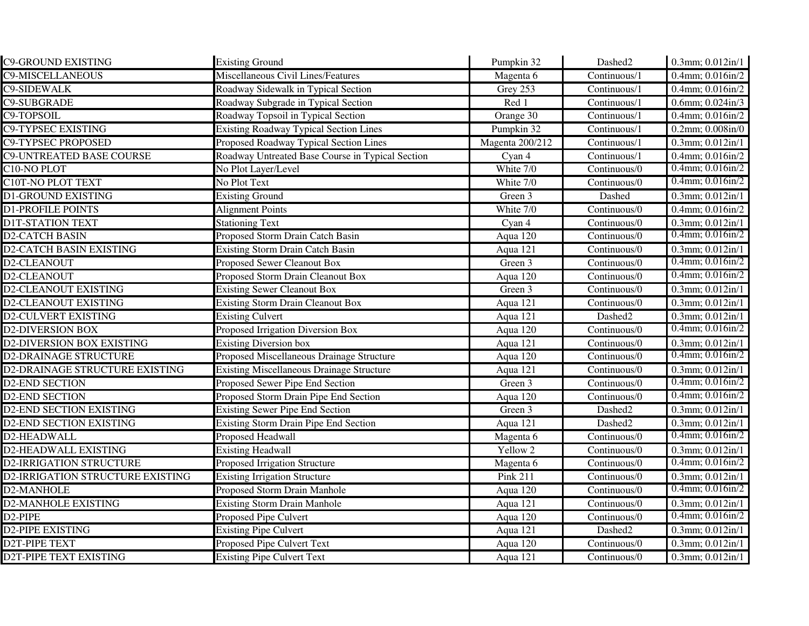| <b>C9-GROUND EXISTING</b>        | <b>Existing Ground</b>                           | Pumpkin 32      | Dashed2             | 0.3mm; 0.012in/1          |
|----------------------------------|--------------------------------------------------|-----------------|---------------------|---------------------------|
| <b>C9-MISCELLANEOUS</b>          | Miscellaneous Civil Lines/Features               | Magenta 6       | Continuous/1        | 0.4mm; 0.016in/2          |
| <b>C9-SIDEWALK</b>               | Roadway Sidewalk in Typical Section              | Grey 253        | Continuous/1        | 0.4mm; 0.016in/2          |
| <b>C9-SUBGRADE</b>               | Roadway Subgrade in Typical Section              | Red 1           | Continuous/1        | $0.6$ mm; $0.024$ in/3    |
| C9-TOPSOIL                       | Roadway Topsoil in Typical Section               | Orange 30       | Continuous/1        | 0.4mm; 0.016in/2          |
| <b>C9-TYPSEC EXISTING</b>        | <b>Existing Roadway Typical Section Lines</b>    | Pumpkin 32      | Continuous/1        | $0.2$ mm; $0.008$ in/ $0$ |
| <b>C9-TYPSEC PROPOSED</b>        | Proposed Roadway Typical Section Lines           | Magenta 200/212 | Continuous/1        | 0.3mm; 0.012in/1          |
| <b>C9-UNTREATED BASE COURSE</b>  | Roadway Untreated Base Course in Typical Section | Cyan 4          | Continuous/1        | $0.4$ mm; $0.016$ in/2    |
| C10-NO PLOT                      | No Plot Layer/Level                              | White $7/0$     | Continuous/0        | $0.4$ mm; $0.016$ in/2    |
| <b>C10T-NO PLOT TEXT</b>         | No Plot Text                                     | White 7/0       | Continuous/0        | $0.4$ mm; $0.016$ in/2    |
| <b>D1-GROUND EXISTING</b>        | <b>Existing Ground</b>                           | Green 3         | Dashed              | 0.3mm; 0.012in/1          |
| <b>D1-PROFILE POINTS</b>         | <b>Alignment Points</b>                          | White 7/0       | Continuous/0        | $0.4$ mm; $0.016$ in/2    |
| <b>DIT-STATION TEXT</b>          | <b>Stationing Text</b>                           | Cyan 4          | Continuous/0        | $0.3$ mm; $0.012$ in/1    |
| <b>D2-CATCH BASIN</b>            | Proposed Storm Drain Catch Basin                 | Aqua 120        | Continuous/0        | $0.4$ mm; $0.016$ in/2    |
| <b>D2-CATCH BASIN EXISTING</b>   | <b>Existing Storm Drain Catch Basin</b>          | Aqua 121        | Continuous/0        | $0.3$ mm; $0.012$ in/1    |
| D2-CLEANOUT                      | Proposed Sewer Cleanout Box                      | Green 3         | Continuous/0        | $0.4$ mm; $0.016$ in/2    |
| D2-CLEANOUT                      | Proposed Storm Drain Cleanout Box                | Aqua 120        | Continuous/0        | $0.4$ mm; $0.016$ in/2    |
| <b>D2-CLEANOUT EXISTING</b>      | <b>Existing Sewer Cleanout Box</b>               | Green 3         | Continuous/0        | 0.3mm; 0.012in/1          |
| <b>D2-CLEANOUT EXISTING</b>      | <b>Existing Storm Drain Cleanout Box</b>         | Aqua 121        | Continuous/0        | $0.3$ mm; $0.012$ in/1    |
| <b>D2-CULVERT EXISTING</b>       | <b>Existing Culvert</b>                          | Aqua 121        | Dashed <sub>2</sub> | $0.3$ mm; $0.012$ in/1    |
| <b>D2-DIVERSION BOX</b>          | Proposed Irrigation Diversion Box                | Aqua 120        | Continuous/0        | $0.4$ mm; $0.016$ in/2    |
| <b>D2-DIVERSION BOX EXISTING</b> | <b>Existing Diversion box</b>                    | Aqua 121        | Continuous/0        | 0.3mm; 0.012in/1          |
| <b>D2-DRAINAGE STRUCTURE</b>     | Proposed Miscellaneous Drainage Structure        | Aqua 120        | Continuous/0        | $0.4$ mm; $0.016$ in/2    |
| D2-DRAINAGE STRUCTURE EXISTING   | <b>Existing Miscellaneous Drainage Structure</b> | Aqua 121        | Continuous/0        | 0.3mm; 0.012in/1          |
| <b>D2-END SECTION</b>            | Proposed Sewer Pipe End Section                  | Green 3         | Continuous/0        | $0.4$ mm; $0.016$ in/2    |
| <b>D2-END SECTION</b>            | Proposed Storm Drain Pipe End Section            | Aqua 120        | Continuous/0        | $0.4$ mm; $0.016$ in/2    |
| <b>D2-END SECTION EXISTING</b>   | <b>Existing Sewer Pipe End Section</b>           | Green 3         | Dashed <sub>2</sub> | $0.3$ mm; $0.012$ in/1    |
| <b>D2-END SECTION EXISTING</b>   | <b>Existing Storm Drain Pipe End Section</b>     | Aqua 121        | Dashed2             | $0.3$ mm; $0.012$ in/1    |
| D2-HEADWALL                      | Proposed Headwall                                | Magenta 6       | Continuous/0        | $0.4$ mm; $0.016$ in/2    |
| D2-HEADWALL EXISTING             | <b>Existing Headwall</b>                         | Yellow 2        | Continuous/0        | 0.3mm; 0.012in/1          |
| <b>D2-IRRIGATION STRUCTURE</b>   | Proposed Irrigation Structure                    | Magenta 6       | Continuous/0        | $0.4$ mm; $0.016$ in/2    |
| D2-IRRIGATION STRUCTURE EXISTING | <b>Existing Irrigation Structure</b>             | <b>Pink 211</b> | Continuous/0        | 0.3mm; 0.012in/1          |
| D2-MANHOLE                       | Proposed Storm Drain Manhole                     | Aqua 120        | Continuous/0        | $0.4$ mm; $0.016$ in/2    |
| <b>D2-MANHOLE EXISTING</b>       | <b>Existing Storm Drain Manhole</b>              | Aqua 121        | Continuous/0        | 0.3mm; 0.012in/1          |
| D <sub>2</sub> -PIPE             | Proposed Pipe Culvert                            | Aqua 120        | Continuous/0        | $0.4$ mm; $0.016$ in/2    |
| <b>D2-PIPE EXISTING</b>          | <b>Existing Pipe Culvert</b>                     | Aqua 121        | Dashed2             | 0.3mm; 0.012in/1          |
| <b>D2T-PIPE TEXT</b>             | Proposed Pipe Culvert Text                       | Aqua 120        | Continuous/0        | $0.3$ mm; $0.012$ in/1    |
| <b>D2T-PIPE TEXT EXISTING</b>    | <b>Existing Pipe Culvert Text</b>                | Aqua 121        | Continuous/0        | $0.3$ mm; $0.012$ in/1    |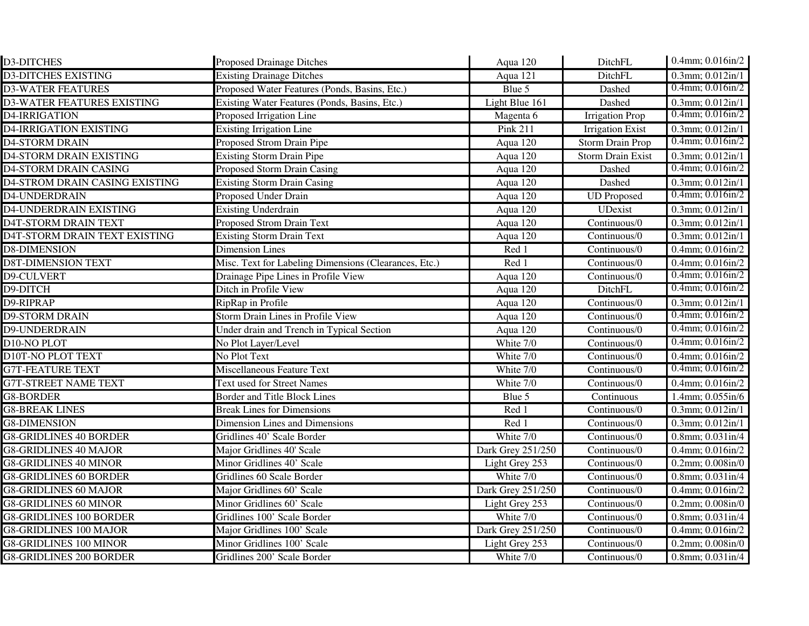| <b>D3-DITCHES</b>                 | <b>Proposed Drainage Ditches</b>                      | Aqua 120          | DitchFL                           | 0.4mm; 0.016in/2               |
|-----------------------------------|-------------------------------------------------------|-------------------|-----------------------------------|--------------------------------|
| <b>D3-DITCHES EXISTING</b>        | <b>Existing Drainage Ditches</b>                      | Aqua 121          | DitchFL                           | $0.3$ mm; $0.012$ in/1         |
| <b>D3-WATER FEATURES</b>          | Proposed Water Features (Ponds, Basins, Etc.)         | Blue 5            | Dashed                            | $0.4$ mm; $0.016$ in/2         |
| <b>D3-WATER FEATURES EXISTING</b> | Existing Water Features (Ponds, Basins, Etc.)         | Light Blue 161    | Dashed                            | $0.3$ mm; $0.012$ in/1         |
| D4-IRRIGATION                     | Proposed Irrigation Line                              | Magenta 6         | <b>Irrigation Prop</b>            | $0.4$ mm; $0.016$ in/2         |
| <b>D4-IRRIGATION EXISTING</b>     | <b>Existing Irrigation Line</b>                       | <b>Pink 211</b>   | <b>Irrigation Exist</b>           | $0.3$ mm; $0.012$ in/1         |
| <b>D4-STORM DRAIN</b>             | Proposed Strom Drain Pipe                             | Aqua 120          | Storm Drain Prop                  | $0.4$ mm; $0.016$ in/2         |
| <b>D4-STORM DRAIN EXISTING</b>    | <b>Existing Storm Drain Pipe</b>                      | Aqua 120          | <b>Storm Drain Exist</b>          | $0.3$ mm; $0.012$ in/1         |
| <b>D4-STORM DRAIN CASING</b>      | Proposed Storm Drain Casing                           | Aqua 120          | Dashed                            | $0.4$ mm; $0.016$ in/2         |
| D4-STROM DRAIN CASING EXISTING    | <b>Existing Storm Drain Casing</b>                    | Aqua 120          | Dashed                            | $0.3$ mm; $0.012$ in/1         |
| D4-UNDERDRAIN                     | Proposed Under Drain                                  | Aqua 120          | <b>UD</b> Proposed                | $0.4$ mm; $0.016$ in/2         |
| <b>D4-UNDERDRAIN EXISTING</b>     | <b>Existing Underdrain</b>                            | Aqua 120          | UDexist                           | $0.3$ mm; $0.012$ in/1         |
| <b>D4T-STORM DRAIN TEXT</b>       | Proposed Strom Drain Text                             | Aqua 120          | Continuous/0                      | $0.3$ mm; $0.012$ in/1         |
| D4T-STORM DRAIN TEXT EXISTING     | <b>Existing Storm Drain Text</b>                      | Aqua 120          | Continuous/0                      | $0.3$ mm; $0.012$ in/1         |
| <b>D8-DIMENSION</b>               | <b>Dimension Lines</b>                                | Red 1             | Continuous/0                      | $0.4$ mm; $0.016$ in/2         |
| <b>D8T-DIMENSION TEXT</b>         | Misc. Text for Labeling Dimensions (Clearances, Etc.) | Red 1             | Continuous/0                      | 0.4mm; 0.016in/2               |
| D9-CULVERT                        | Drainage Pipe Lines in Profile View                   | Aqua 120          | Continuous/0                      | $0.4$ mm; $0.016$ in/2         |
| D9-DITCH                          | Ditch in Profile View                                 | Aqua 120          | DitchFL                           | $0.4$ mm; $0.016$ in/2         |
| D9-RIPRAP                         | RipRap in Profile                                     | Aqua 120          | Continuous/0                      | $0.3$ mm; $0.012$ in/1         |
| <b>D9-STORM DRAIN</b>             | Storm Drain Lines in Profile View                     | Aqua 120          | Continuous/0                      | $0.4$ mm; $0.016$ in/2         |
| D9-UNDERDRAIN                     | Under drain and Trench in Typical Section             | Aqua 120          | Continuous/0                      | $0.4$ mm; $0.016$ in/2         |
| D10-NO PLOT                       | No Plot Layer/Level                                   | White 7/0         | Continuous/0                      | $0.4$ mm; $0.016$ in/2         |
| <b>D10T-NO PLOT TEXT</b>          | No Plot Text                                          | White 7/0         | $\overline{\text{Continuous}}$ /0 | $\overline{0.4}$ mm; 0.016in/2 |
| <b>G7T-FEATURE TEXT</b>           | Miscellaneous Feature Text                            | White 7/0         | Continuous/0                      | $0.4$ mm; $0.016$ in/2         |
| <b>G7T-STREET NAME TEXT</b>       | <b>Text used for Street Names</b>                     | White 7/0         | Continuous/0                      | $0.4$ mm; $0.016$ in/2         |
| <b>G8-BORDER</b>                  | <b>Border and Title Block Lines</b>                   | Blue 5            | Continuous                        | 1.4mm; 0.055in/6               |
| <b>G8-BREAK LINES</b>             | <b>Break Lines for Dimensions</b>                     | Red 1             | Continuous/0                      | 0.3mm; 0.012in/1               |
| <b>G8-DIMENSION</b>               | Dimension Lines and Dimensions                        | Red 1             | Continuous/0                      | 0.3mm; 0.012in/1               |
| <b>G8-GRIDLINES 40 BORDER</b>     | Gridlines 40' Scale Border                            | White 7/0         | Continuous/0                      | $0.8$ mm; $0.031$ in/4         |
| <b>G8-GRIDLINES 40 MAJOR</b>      | Major Gridlines 40' Scale                             | Dark Grey 251/250 | Continuous/0                      | 0.4mm; 0.016in/2               |
| <b>G8-GRIDLINES 40 MINOR</b>      | Minor Gridlines 40' Scale                             | Light Grey 253    | Continuous/0                      | $0.2$ mm; $0.008$ in/ $0$      |
| <b>G8-GRIDLINES 60 BORDER</b>     | Gridlines 60 Scale Border                             | White 7/0         | Continuous/0                      | 0.8mm; 0.031in/4               |
| <b>G8-GRIDLINES 60 MAJOR</b>      | Major Gridlines 60' Scale                             | Dark Grey 251/250 | Continuous/0                      | $0.4$ mm; $0.016$ in/2         |
| <b>G8-GRIDLINES 60 MINOR</b>      | Minor Gridlines 60' Scale                             | Light Grey 253    | Continuous/0                      | $0.2$ mm; $0.008$ in/ $0$      |
| <b>G8-GRIDLINES 100 BORDER</b>    | Gridlines 100' Scale Border                           | White 7/0         | Continuous/0                      | $0.8$ mm; $0.031$ in/4         |
| <b>G8-GRIDLINES 100 MAJOR</b>     | Major Gridlines 100' Scale                            | Dark Grey 251/250 | Continuous/0                      | $0.4$ mm; $0.016$ in/2         |
| <b>G8-GRIDLINES 100 MINOR</b>     | Minor Gridlines 100' Scale                            | Light Grey 253    | Continuous/0                      | $0.2$ mm; $0.008$ in/ $0$      |
| <b>G8-GRIDLINES 200 BORDER</b>    | Gridlines 200' Scale Border                           | White 7/0         | Continuous/0                      | $0.8$ mm; $0.031$ in/4         |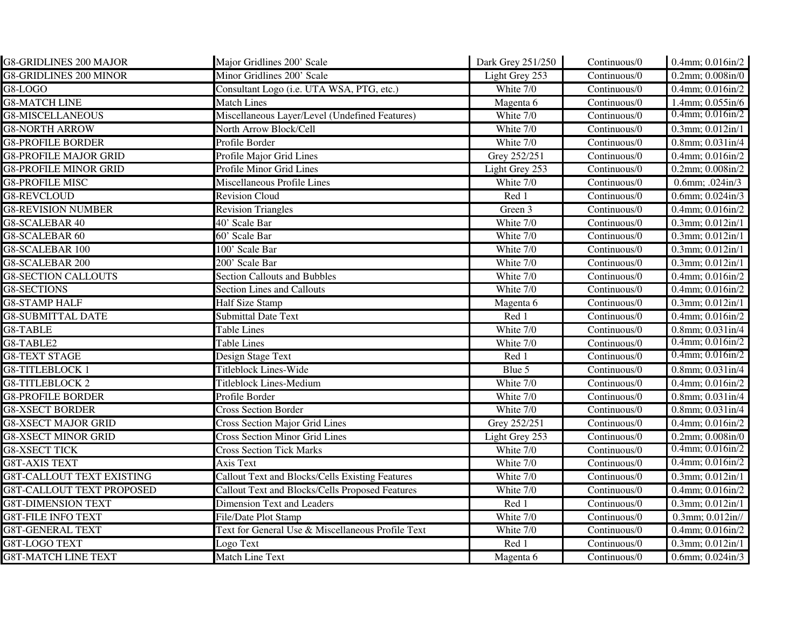| <b>G8-GRIDLINES 200 MAJOR</b>    | Major Gridlines 200' Scale                             | Dark Grey 251/250 | Continuous/0 | 0.4mm; 0.016in/2            |
|----------------------------------|--------------------------------------------------------|-------------------|--------------|-----------------------------|
| <b>G8-GRIDLINES 200 MINOR</b>    | Minor Gridlines 200' Scale                             | Light Grey 253    | Continuous/0 | $0.2$ mm; $0.008$ in/ $0$   |
| G8-LOGO                          | Consultant Logo (i.e. UTA WSA, PTG, etc.)              | White 7/0         | Continuous/0 | 0.4mm; 0.016in/2            |
| <b>G8-MATCH LINE</b>             | <b>Match Lines</b>                                     | Magenta 6         | Continuous/0 | 1.4mm; 0.055in/6            |
| <b>G8-MISCELLANEOUS</b>          | Miscellaneous Layer/Level (Undefined Features)         | White 7/0         | Continuous/0 | $0.4$ mm; $0.016$ in/2      |
| <b>G8-NORTH ARROW</b>            | North Arrow Block/Cell                                 | White 7/0         | Continuous/0 | $0.3$ mm; $0.012$ in/1      |
| <b>G8-PROFILE BORDER</b>         | Profile Border                                         | White 7/0         | Continuous/0 | $0.8$ mm; $0.031$ in/4      |
| <b>G8-PROFILE MAJOR GRID</b>     | Profile Major Grid Lines                               | Grey 252/251      | Continuous/0 | $0.4$ mm; $0.016$ in/2      |
| <b>G8-PROFILE MINOR GRID</b>     | Profile Minor Grid Lines                               | Light Grey 253    | Continuous/0 | $0.2$ mm; $0.008$ in/2      |
| <b>G8-PROFILE MISC</b>           | Miscellaneous Profile Lines                            | White 7/0         | Continuous/0 | 0.6mm; $.024 \text{in} / 3$ |
| <b>G8-REVCLOUD</b>               | <b>Revision Cloud</b>                                  | Red 1             | Continuous/0 | $0.6$ mm; $0.024$ in/3      |
| <b>G8-REVISION NUMBER</b>        | <b>Revision Triangles</b>                              | Green 3           | Continuous/0 | $0.4$ mm; $0.016$ in/2      |
| G8-SCALEBAR 40                   | 40' Scale Bar                                          | White 7/0         | Continuous/0 | $0.3$ mm; $0.012$ in/1      |
| G8-SCALEBAR 60                   | 60' Scale Bar                                          | White 7/0         | Continuous/0 | $0.3$ mm; $0.012$ in/1      |
| <b>G8-SCALEBAR 100</b>           | 100' Scale Bar                                         | White 7/0         | Continuous/0 | $0.3$ mm; $0.012$ in/1      |
| G8-SCALEBAR 200                  | 200' Scale Bar                                         | White 7/0         | Continuous/0 | 0.3mm; 0.012in/1            |
| <b>G8-SECTION CALLOUTS</b>       | <b>Section Callouts and Bubbles</b>                    | White 7/0         | Continuous/0 | 0.4mm; 0.016in/2            |
| <b>G8-SECTIONS</b>               | <b>Section Lines and Callouts</b>                      | White 7/0         | Continuous/0 | 0.4mm; 0.016in/2            |
| <b>G8-STAMP HALF</b>             | <b>Half Size Stamp</b>                                 | Magenta 6         | Continuous/0 | $0.3$ mm; $0.012$ in/1      |
| <b>G8-SUBMITTAL DATE</b>         | <b>Submittal Date Text</b>                             | Red 1             | Continuous/0 | $0.4$ mm; $0.016$ in/2      |
| G8-TABLE                         | <b>Table Lines</b>                                     | White 7/0         | Continuous/0 | $0.8$ mm; $0.031$ in/4      |
| G8-TABLE2                        | <b>Table Lines</b>                                     | White 7/0         | Continuous/0 | $0.4$ mm; $0.016$ in/2      |
| <b>G8-TEXT STAGE</b>             | Design Stage Text                                      | Red 1             | Continuous/0 | $0.4$ mm; $0.016$ in/2      |
| <b>G8-TITLEBLOCK 1</b>           | <b>Titleblock Lines-Wide</b>                           | Blue 5            | Continuous/0 | $0.8$ mm; $0.031$ in/4      |
| <b>G8-TITLEBLOCK 2</b>           | <b>Titleblock Lines-Medium</b>                         | White 7/0         | Continuous/0 | $0.4$ mm; $0.016$ in/2      |
| <b>G8-PROFILE BORDER</b>         | Profile Border                                         | White 7/0         | Continuous/0 | $0.8$ mm; $0.031$ in/4      |
| <b>G8-XSECT BORDER</b>           | <b>Cross Section Border</b>                            | White 7/0         | Continuous/0 | $0.8$ mm; $0.031$ in/4      |
| <b>G8-XSECT MAJOR GRID</b>       | Cross Section Major Grid Lines                         | Grey 252/251      | Continuous/0 | $0.4$ mm; $0.016$ in/2      |
| <b>G8-XSECT MINOR GRID</b>       | <b>Cross Section Minor Grid Lines</b>                  | Light Grey 253    | Continuous/0 | $0.2$ mm; $0.008$ in/ $0$   |
| <b>G8-XSECT TICK</b>             | <b>Cross Section Tick Marks</b>                        | White 7/0         | Continuous/0 | $0.4$ mm; $0.016$ in/2      |
| <b>G8T-AXIS TEXT</b>             | Axis Text                                              | White 7/0         | Continuous/0 | $0.4$ mm; $0.016$ in/2      |
| <b>G8T-CALLOUT TEXT EXISTING</b> | <b>Callout Text and Blocks/Cells Existing Features</b> | White 7/0         | Continuous/0 | 0.3mm; 0.012in/1            |
| <b>G8T-CALLOUT TEXT PROPOSED</b> | Callout Text and Blocks/Cells Proposed Features        | White 7/0         | Continuous/0 | 0.4mm; 0.016in/2            |
| <b>G8T-DIMENSION TEXT</b>        | <b>Dimension Text and Leaders</b>                      | Red 1             | Continuous/0 | $0.3$ mm; $0.012$ in/1      |
| <b>G8T-FILE INFO TEXT</b>        | File/Date Plot Stamp                                   | White 7/0         | Continuous/0 | $0.3$ mm; $0.012$ in//      |
| <b>G8T-GENERAL TEXT</b>          | Text for General Use & Miscellaneous Profile Text      | White 7/0         | Continuous/0 | $0.4$ mm; $0.016$ in/2      |
| G8T-LOGO TEXT                    | Logo Text                                              | Red 1             | Continuous/0 | $0.3$ mm; $0.012$ in/1      |
| <b>G8T-MATCH LINE TEXT</b>       | Match Line Text                                        | Magenta 6         | Continuous/0 | $0.6$ mm; $0.024$ in/3      |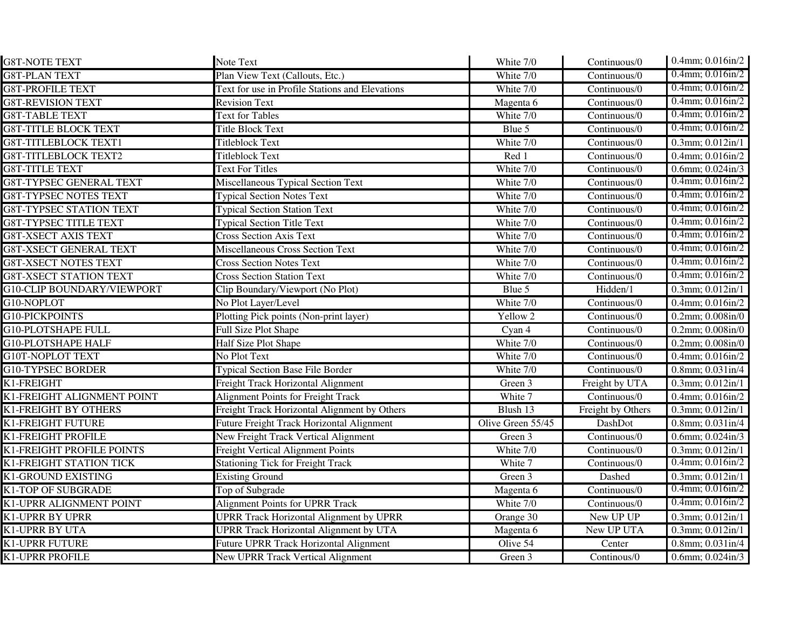| <b>G8T-NOTE TEXT</b>              | Note Text                                       | White 7/0         | Continuous/0                      | $0.4$ mm; $0.016$ in/2    |
|-----------------------------------|-------------------------------------------------|-------------------|-----------------------------------|---------------------------|
| <b>G8T-PLAN TEXT</b>              | Plan View Text (Callouts, Etc.)                 | White 7/0         | Continuous/0                      | $0.4$ mm; $0.016$ in/2    |
| <b>G8T-PROFILE TEXT</b>           | Text for use in Profile Stations and Elevations | White 7/0         | Continuous/0                      | $0.4$ mm; $0.016$ in/2    |
| <b>G8T-REVISION TEXT</b>          | <b>Revision Text</b>                            | Magenta 6         | Continuous/0                      | $0.4$ mm; $0.016$ in/2    |
| <b>G8T-TABLE TEXT</b>             | <b>Text for Tables</b>                          | White 7/0         | Continuous/0                      | $0.4$ mm; $0.016$ in/2    |
| <b>G8T-TITLE BLOCK TEXT</b>       | <b>Title Block Text</b>                         | Blue 5            | Continuous/0                      | $0.4$ mm; $0.016$ in/2    |
| <b>G8T-TITLEBLOCK TEXT1</b>       | <b>Titleblock Text</b>                          | White 7/0         | Continuous/0                      | $0.3$ mm; $0.012$ in/1    |
| <b>G8T-TITLEBLOCK TEXT2</b>       | <b>Titleblock Text</b>                          | Red 1             | Continuous/0                      | $0.4$ mm; $0.016$ in/2    |
| <b>G8T-TITLE TEXT</b>             | <b>Text For Titles</b>                          | White 7/0         | Continuous/0                      | 0.6mm; $0.024$ in/3       |
| <b>G8T-TYPSEC GENERAL TEXT</b>    | Miscellaneous Typical Section Text              | White 7/0         | Continuous/0                      | $0.4$ mm; $0.016$ in/2    |
| <b>G8T-TYPSEC NOTES TEXT</b>      | <b>Typical Section Notes Text</b>               | White 7/0         | Continuous/0                      | $0.4$ mm; $0.016$ in/2    |
| <b>G8T-TYPSEC STATION TEXT</b>    | <b>Typical Section Station Text</b>             | White 7/0         | Continuous/0                      | $0.4$ mm; $0.016$ in/2    |
| <b>G8T-TYPSEC TITLE TEXT</b>      | <b>Typical Section Title Text</b>               | White 7/0         | Continuous/0                      | $0.4$ mm; $0.016$ in/2    |
| <b>G8T-XSECT AXIS TEXT</b>        | <b>Cross Section Axis Text</b>                  | White 7/0         | Continuous/0                      | $0.4$ mm; $0.016$ in/2    |
| <b>G8T-XSECT GENERAL TEXT</b>     | <b>Miscellaneous Cross Section Text</b>         | White 7/0         | Continuous/0                      | $0.4$ mm; $0.016$ in/2    |
| <b>G8T-XSECT NOTES TEXT</b>       | <b>Cross Section Notes Text</b>                 | White 7/0         | Continuous/0                      | $0.4$ mm; $0.016$ in/2    |
| <b>G8T-XSECT STATION TEXT</b>     | <b>Cross Section Station Text</b>               | White 7/0         | Continuous/0                      | $0.4$ mm; $0.016$ in/2    |
| <b>G10-CLIP BOUNDARY/VIEWPORT</b> | Clip Boundary/Viewport (No Plot)                | Blue 5            | Hidden/1                          | $0.3$ mm; $0.012$ in/1    |
| G10-NOPLOT                        | No Plot Layer/Level                             | White 7/0         | Continuous/0                      | $0.4$ mm; $0.016$ in/2    |
| G10-PICKPOINTS                    | Plotting Pick points (Non-print layer)          | Yellow 2          | $\overline{\text{Continuous}}$ /0 | $0.2$ mm; $0.008$ in/ $0$ |
| <b>G10-PLOTSHAPE FULL</b>         | Full Size Plot Shape                            | Cyan 4            | Continuous/0                      | $0.2$ mm; $0.008$ in/ $0$ |
| <b>G10-PLOTSHAPE HALF</b>         | Half Size Plot Shape                            | White 7/0         | Continuous/0                      | $0.2$ mm; $0.008$ in/ $0$ |
| G10T-NOPLOT TEXT                  | No Plot Text                                    | White 7/0         | Continuous/0                      | $0.4$ mm; $0.016$ in/2    |
| <b>G10-TYPSEC BORDER</b>          | <b>Typical Section Base File Border</b>         | White 7/0         | Continuous/0                      | $0.8$ mm; $0.031$ in/4    |
| K1-FREIGHT                        | <b>Freight Track Horizontal Alignment</b>       | Green 3           | Freight by UTA                    | 0.3mm; 0.012in/1          |
| K1-FREIGHT ALIGNMENT POINT        | <b>Alignment Points for Freight Track</b>       | White 7           | Continuous/0                      | 0.4mm; 0.016in/2          |
| K1-FREIGHT BY OTHERS              | Freight Track Horizontal Alignment by Others    | Blush 13          | Freight by Others                 | 0.3mm; 0.012in/1          |
| K1-FREIGHT FUTURE                 | Future Freight Track Horizontal Alignment       | Olive Green 55/45 | DashDot                           | $0.8$ mm; $0.031$ in/4    |
| K1-FREIGHT PROFILE                | New Freight Track Vertical Alignment            | Green 3           | Continuous/0                      | $0.6$ mm; $0.024$ in/3    |
| K1-FREIGHT PROFILE POINTS         | <b>Freight Vertical Alignment Points</b>        | White 7/0         | Continuous/0                      | $0.3$ mm; $0.012$ in/1    |
| K1-FREIGHT STATION TICK           | <b>Stationing Tick for Freight Track</b>        | White 7           | $\overline{\text{Continuous}}$ /0 | $0.4$ mm; $0.016$ in/2    |
| K1-GROUND EXISTING                | <b>Existing Ground</b>                          | Green 3           | Dashed                            | $0.3$ mm; $0.012$ in/1    |
| K1-TOP OF SUBGRADE                | Top of Subgrade                                 | Magenta 6         | Continuous/0                      | $0.4$ mm; $0.016$ in/2    |
| K1-UPRR ALIGNMENT POINT           | <b>Alignment Points for UPRR Track</b>          | White 7/0         | Continuous/0                      | $0.4$ mm; $0.016$ in/2    |
| <b>K1-UPRR BY UPRR</b>            | <b>UPRR Track Horizontal Alignment by UPRR</b>  | Orange 30         | New UP UP                         | $0.3$ mm; $0.012$ in/1    |
| <b>K1-UPRR BY UTA</b>             | <b>UPRR Track Horizontal Alignment by UTA</b>   | Magenta 6         | New UP UTA                        | $0.3$ mm; $0.012$ in/1    |
| <b>K1-UPRR FUTURE</b>             | Future UPRR Track Horizontal Alignment          | Olive 54          | Center                            | $0.8$ mm; $0.031$ in/4    |
| <b>K1-UPRR PROFILE</b>            | <b>New UPRR Track Vertical Alignment</b>        | Green 3           | Continous/0                       | $0.6$ mm; $0.024$ in/3    |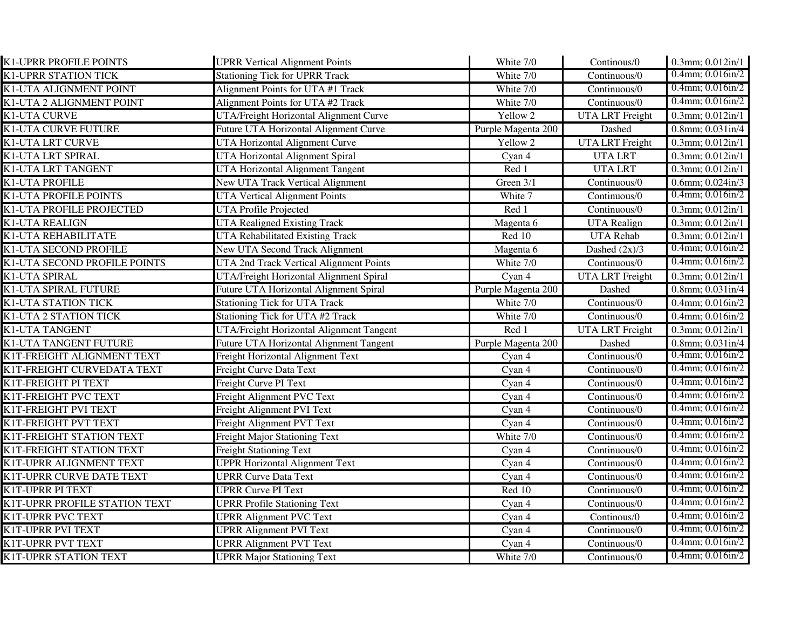| K1-UPRR PROFILE POINTS        | <b>UPRR Vertical Alignment Points</b>          | White 7/0          | Continous/0            | $0.3$ mm; $0.012$ in/1 |
|-------------------------------|------------------------------------------------|--------------------|------------------------|------------------------|
| <b>K1-UPRR STATION TICK</b>   | <b>Stationing Tick for UPRR Track</b>          | White 7/0          | Continuous/0           | $0.4$ mm; $0.016$ in/2 |
| K1-UTA ALIGNMENT POINT        | Alignment Points for UTA #1 Track              | White 7/0          | Continuous/0           | $0.4$ mm; $0.016$ in/2 |
| K1-UTA 2 ALIGNMENT POINT      | Alignment Points for UTA #2 Track              | White 7/0          | Continuous/0           | $0.4$ mm; $0.016$ in/2 |
| <b>K1-UTA CURVE</b>           | UTA/Freight Horizontal Alignment Curve         | Yellow 2           | <b>UTA LRT</b> Freight | 0.3mm; 0.012in/1       |
| <b>K1-UTA CURVE FUTURE</b>    | <b>Future UTA Horizontal Alignment Curve</b>   | Purple Magenta 200 | Dashed                 | $0.8$ mm; $0.031$ in/4 |
| <b>K1-UTA LRT CURVE</b>       | UTA Horizontal Alignment Curve                 | Yellow 2           | <b>UTA LRT</b> Freight | $0.3$ mm; $0.012$ in/1 |
| <b>K1-UTA LRT SPIRAL</b>      | UTA Horizontal Alignment Spiral                | Cyan 4             | <b>UTA LRT</b>         | $0.3$ mm; $0.012$ in/1 |
| <b>K1-UTA LRT TANGENT</b>     | UTA Horizontal Alignment Tangent               | Red 1              | <b>UTA LRT</b>         | $0.3$ mm; $0.012$ in/1 |
| K1-UTA PROFILE                | <b>New UTA Track Vertical Alignment</b>        | Green 3/1          | Continuous/0           | $0.6$ mm; $0.024$ in/3 |
| <b>K1-UTA PROFILE POINTS</b>  | <b>UTA Vertical Alignment Points</b>           | White 7            | Continuous/0           | $0.4$ mm; $0.016$ in/2 |
| K1-UTA PROFILE PROJECTED      | <b>UTA Profile Projected</b>                   | Red 1              | Continuous/0           | $0.3$ mm; $0.012$ in/1 |
| <b>K1-UTA REALIGN</b>         | <b>UTA Realigned Existing Track</b>            | Magenta 6          | <b>UTA Realign</b>     | 0.3mm; 0.012in/1       |
| K1-UTA REHABILITATE           | UTA Rehabilitated Existing Track               | Red 10             | <b>UTA Rehab</b>       | 0.3mm; 0.012in/1       |
| K1-UTA SECOND PROFILE         | <b>New UTA Second Track Alignment</b>          | Magenta 6          | Dashed $(2x)/3$        | $0.4$ mm; $0.016$ in/2 |
| K1-UTA SECOND PROFILE POINTS  | UTA 2nd Track Vertical Alignment Points        | White 7/0          | Continuous/0           | $0.4$ mm; $0.016$ in/2 |
| K1-UTA SPIRAL                 | UTA/Freight Horizontal Alignment Spiral        | Cyan 4             | <b>UTA LRT</b> Freight | 0.3mm; 0.012in/1       |
| K1-UTA SPIRAL FUTURE          | Future UTA Horizontal Alignment Spiral         | Purple Magenta 200 | Dashed                 | $0.8$ mm; $0.031$ in/4 |
| <b>K1-UTA STATION TICK</b>    | <b>Stationing Tick for UTA Track</b>           | White 7/0          | Continuous/0           | $0.4$ mm; $0.016$ in/2 |
| K1-UTA 2 STATION TICK         | Stationing Tick for UTA #2 Track               | White 7/0          | Continuous/0           | 0.4mm; 0.016in/2       |
| <b>K1-UTA TANGENT</b>         | UTA/Freight Horizontal Alignment Tangent       | Red 1              | <b>UTA LRT</b> Freight | 0.3mm; 0.012in/1       |
| K1-UTA TANGENT FUTURE         | <b>Future UTA Horizontal Alignment Tangent</b> | Purple Magenta 200 | Dashed                 | $0.8$ mm; $0.031$ in/4 |
| K1T-FREIGHT ALIGNMENT TEXT    | Freight Horizontal Alignment Text              | Cyan 4             | Continuous/0           | $0.4$ mm; $0.016$ in/2 |
| K1T-FREIGHT CURVEDATA TEXT    | Freight Curve Data Text                        | Cyan 4             | Continuous/0           | $0.4$ mm; $0.016$ in/2 |
| K1T-FREIGHT PI TEXT           | Freight Curve PI Text                          | Cyan 4             | Continuous/0           | $0.4$ mm; $0.016$ in/2 |
| K1T-FREIGHT PVC TEXT          | Freight Alignment PVC Text                     | Cyan 4             | Continuous/0           | $0.4$ mm; $0.016$ in/2 |
| K1T-FREIGHT PVI TEXT          | Freight Alignment PVI Text                     | Cyan 4             | Continuous/0           | $0.4$ mm; $0.016$ in/2 |
| K1T-FREIGHT PVT TEXT          | Freight Alignment PVT Text                     | Cyan 4             | Continuous/0           | $0.4$ mm; $0.016$ in/2 |
| K1T-FREIGHT STATION TEXT      | <b>Freight Major Stationing Text</b>           | White 7/0          | Continuous/0           | $0.4$ mm; $0.016$ in/2 |
| K1T-FREIGHT STATION TEXT      | <b>Freight Stationing Text</b>                 | Cyan 4             | Continuous/0           | $0.4$ mm; $0.016$ in/2 |
| K1T-UPRR ALIGNMENT TEXT       | <b>UPPR Horizontal Alignment Text</b>          | Cyan 4             | Continuous/0           | $0.4$ mm; $0.016$ in/2 |
| K1T-UPRR CURVE DATE TEXT      | <b>UPRR Curve Data Text</b>                    | Cyan 4             | Continuous/0           | $0.4$ mm; $0.016$ in/2 |
| K1T-UPRR PI TEXT              | <b>UPRR Curve PI Text</b>                      | Red 10             | Continuous/0           | $0.4$ mm; $0.016$ in/2 |
| K1T-UPRR PROFILE STATION TEXT | <b>UPRR Profile Stationing Text</b>            | Cyan 4             | Continuous/0           | $0.4$ mm; $0.016$ in/2 |
| K1T-UPRR PVC TEXT             | <b>UPRR Alignment PVC Text</b>                 | Cyan 4             | Continous/0            | $0.4$ mm; $0.016$ in/2 |
| K1T-UPRR PVI TEXT             | <b>UPRR Alignment PVI Text</b>                 | Cyan 4             | Continuous/0           | $0.4$ mm; $0.016$ in/2 |
| K1T-UPRR PVT TEXT             | <b>UPRR Alignment PVT Text</b>                 | Cyan 4             | Continuous/0           | $0.4$ mm; $0.016$ in/2 |
| K1T-UPRR STATION TEXT         | <b>UPRR Major Stationing Text</b>              | White 7/0          | Continuous/0           | $0.4$ mm; $0.016$ in/2 |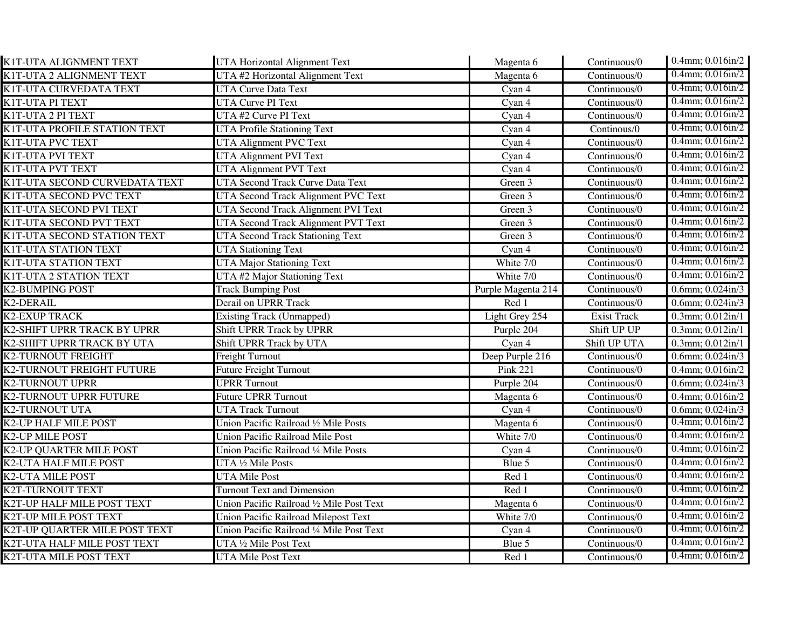| K1T-UTA ALIGNMENT TEXT         | UTA Horizontal Alignment Text               | Magenta 6              | Continuous/0       | 0.4mm; 0.016in/2                  |
|--------------------------------|---------------------------------------------|------------------------|--------------------|-----------------------------------|
| K1T-UTA 2 ALIGNMENT TEXT       | UTA #2 Horizontal Alignment Text            | Magenta 6              | Continuous/0       | $0.4$ mm; $0.016$ in/2            |
| K1T-UTA CURVEDATA TEXT         | <b>UTA Curve Data Text</b>                  | Cyan 4                 | Continuous/0       | $0.4$ mm; $0.016$ in/2            |
| K1T-UTA PI TEXT                | <b>UTA Curve PI Text</b>                    | Cyan 4                 | Continuous/0       | $0.4$ mm; $0.016$ in/2            |
| K1T-UTA 2 PI TEXT              | UTA #2 Curve PI Text                        | Cyan 4                 | Continuous/0       | $0.4$ mm; $0.016$ in/2            |
| K1T-UTA PROFILE STATION TEXT   | <b>UTA Profile Stationing Text</b>          | Cyan 4                 | Continous/0        | $0.4$ mm; $0.016$ in/2            |
| K1T-UTA PVC TEXT               | <b>UTA Alignment PVC Text</b>               | Cyan 4                 | Continuous/0       | $0.4$ mm; $0.016$ in/2            |
| K1T-UTA PVI TEXT               | <b>UTA Alignment PVI Text</b>               | Cyan 4                 | Continuous/0       | $0.4$ mm; $0.016$ in/2            |
| K1T-UTA PVT TEXT               | <b>UTA Alignment PVT Text</b>               | Cyan 4                 | Continuous/0       | $0.4$ mm; $0.016$ in/2            |
| K1T-UTA SECOND CURVEDATA TEXT  | <b>UTA Second Track Curve Data Text</b>     | Green 3                | Continuous/0       | $0.4$ mm; $0.016$ in/2            |
| K1T-UTA SECOND PVC TEXT        | UTA Second Track Alignment PVC Text         | Green 3                | Continuous/0       | $0.4$ mm; $0.016$ in/2            |
| K1T-UTA SECOND PVI TEXT        | UTA Second Track Alignment PVI Text         | Green 3                | Continuous/0       | $0.4$ mm; $0.016$ in/2            |
| K1T-UTA SECOND PVT TEXT        | UTA Second Track Alignment PVT Text         | Green 3                | Continuous/0       | $0.4$ mm; $0.016$ in/2            |
| K1T-UTA SECOND STATION TEXT    | <b>UTA Second Track Stationing Text</b>     | Green 3                | Continuous/0       | $0.4$ mm; $0.016$ in/2            |
| K1T-UTA STATION TEXT           | <b>UTA Stationing Text</b>                  | Cyan 4                 | Continuous/0       | $0.4$ mm; $0.016$ in/2            |
| K1T-UTA STATION TEXT           | <b>UTA Major Stationing Text</b>            | White 7/0              | Continuous/0       | $0.4$ mm; $0.016$ in/2            |
| K1T-UTA 2 STATION TEXT         | UTA #2 Major Stationing Text                | White 7/0              | Continuous/0       | $0.4$ mm; $0.016$ in/2            |
| <b>K2-BUMPING POST</b>         | <b>Track Bumping Post</b>                   | Purple Magenta 214     | Continuous/0       | $0.6$ mm; $0.024$ in/3            |
| <b>K2-DERAIL</b>               | <b>Derail on UPRR Track</b>                 | Red 1                  | Continuous/0       | $0.6$ mm; $0.024$ in/3            |
| <b>K2-EXUP TRACK</b>           | <b>Existing Track (Unmapped)</b>            | Light Grey 254         | <b>Exist Track</b> | $0.3$ mm; $0.012$ in/1            |
| K2-SHIFT UPRR TRACK BY UPRR    | Shift UPRR Track by UPRR                    | Purple 204             | Shift UP UP        | 0.3mm; 0.012in/1                  |
| K2-SHIFT UPRR TRACK BY UTA     | Shift UPRR Track by UTA                     | Cyan 4                 | Shift UP UTA       | $\overline{0.3}$ mm; $0.012$ in/1 |
| <b>K2-TURNOUT FREIGHT</b>      | <b>Freight Turnout</b>                      | Deep Purple 216        | Continuous/0       | $0.6$ mm; $0.024$ in/3            |
| K2-TURNOUT FREIGHT FUTURE      | <b>Future Freight Turnout</b>               | $\overline{P}$ ink 221 | Continuous/0       | 0.4mm; 0.016in/2                  |
| <b>K2-TURNOUT UPRR</b>         | <b>UPRR Turnout</b>                         | Purple 204             | Continuous/0       | $0.6$ mm; $0.024$ in/3            |
| K2-TURNOUT UPRR FUTURE         | <b>Future UPRR Turnout</b>                  | Magenta 6              | Continuous/0       | 0.4mm; 0.016in/2                  |
| <b>K2-TURNOUT UTA</b>          | <b>UTA Track Turnout</b>                    | Cyan 4                 | Continuous/0       | $0.6$ mm; $0.024$ in/3            |
| K2-UP HALF MILE POST           | Union Pacific Railroad 1/2 Mile Posts       | Magenta 6              | Continuous/0       | $0.4$ mm; $0.016$ in/2            |
| <b>K2-UP MILE POST</b>         | <b>Union Pacific Railroad Mile Post</b>     | White 7/0              | Continuous/0       | $0.4$ mm; $0.016$ in/2            |
| <b>K2-UP QUARTER MILE POST</b> | Union Pacific Railroad 1/4 Mile Posts       | Cyan 4                 | Continuous/0       | $0.4$ mm; $0.016$ in/2            |
| <b>K2-UTA HALF MILE POST</b>   | UTA 1/2 Mile Posts                          | Blue 5                 | Continuous/0       | $0.4$ mm; $0.016$ in/2            |
| <b>K2-UTA MILE POST</b>        | <b>UTA Mile Post</b>                        | Red 1                  | Continuous/0       | $0.4$ mm; $0.016$ in/2            |
| <b>K2T-TURNOUT TEXT</b>        | <b>Turnout Text and Dimension</b>           | Red 1                  | Continuous/0       | $0.4$ mm; $0.016$ in/2            |
| K2T-UP HALF MILE POST TEXT     | Union Pacific Railroad 1/2 Mile Post Text   | Magenta 6              | Continuous/0       | $0.4$ mm; $0.016$ in/2            |
| K2T-UP MILE POST TEXT          | <b>Union Pacific Railroad Milepost Text</b> | White 7/0              | Continuous/0       | $0.4$ mm; $0.016$ in/2            |
| K2T-UP QUARTER MILE POST TEXT  | Union Pacific Railroad 1/4 Mile Post Text   | Cyan 4                 | Continuous/0       | $0.4$ mm; $0.016$ in/2            |
| K2T-UTA HALF MILE POST TEXT    | UTA 1/2 Mile Post Text                      | Blue 5                 | Continuous/0       | $0.4$ mm; $0.016$ in/2            |
| K2T-UTA MILE POST TEXT         | <b>UTA Mile Post Text</b>                   | Red 1                  | Continuous/0       | $0.4$ mm; $0.016$ in/2            |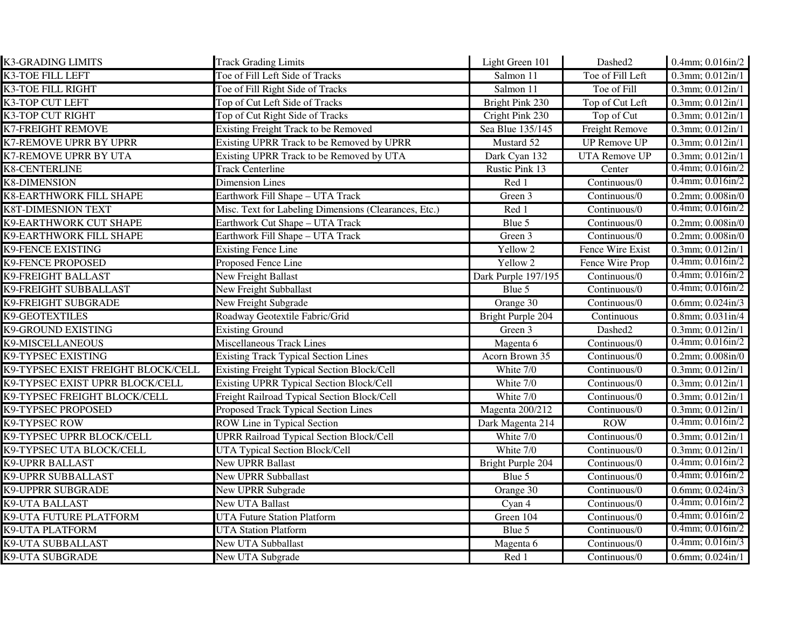| <b>K3-GRADING LIMITS</b>           | <b>Track Grading Limits</b>                           | Light Green 101     | Dashed2              | $0.4$ mm; $0.016$ in/2            |
|------------------------------------|-------------------------------------------------------|---------------------|----------------------|-----------------------------------|
| <b>K3-TOE FILL LEFT</b>            | Toe of Fill Left Side of Tracks                       | Salmon 11           | Toe of Fill Left     | $\overline{0.3}$ mm; $0.012$ in/1 |
| K3-TOE FILL RIGHT                  | Toe of Fill Right Side of Tracks                      | Salmon 11           | Toe of Fill          | $0.3$ mm; $0.012$ in/1            |
| K3-TOP CUT LEFT                    | Top of Cut Left Side of Tracks                        | Bright Pink 230     | Top of Cut Left      | $0.3$ mm; $0.012$ in/1            |
| <b>K3-TOP CUT RIGHT</b>            | Top of Cut Right Side of Tracks                       | Cright Pink 230     | Top of Cut           | $0.3$ mm; $0.012$ in/1            |
| <b>K7-FREIGHT REMOVE</b>           | <b>Existing Freight Track to be Removed</b>           | Sea Blue 135/145    | Freight Remove       | $0.3$ mm; $0.012$ in/1            |
| <b>K7-REMOVE UPRR BY UPRR</b>      | <b>Existing UPRR Track to be Removed by UPRR</b>      | Mustard 52          | <b>UP Remove UP</b>  | $0.3$ mm; $0.012$ in/1            |
| K7-REMOVE UPRR BY UTA              | Existing UPRR Track to be Removed by UTA              | Dark Cyan 132       | <b>UTA Remove UP</b> | $0.3$ mm; $0.012$ in/1            |
| <b>K8-CENTERLINE</b>               | <b>Track Centerline</b>                               | Rustic Pink 13      | Center               | $0.4$ mm; $0.016$ in/2            |
| <b>K8-DIMENSION</b>                | <b>Dimension Lines</b>                                | Red 1               | Continuous/0         | $0.4$ mm; $0.016$ in/2            |
| K8-EARTHWORK FILL SHAPE            | Earthwork Fill Shape - UTA Track                      | Green 3             | Continuous/0         | $0.2$ mm; $0.008$ in/ $0$         |
| <b>K8T-DIMESNION TEXT</b>          | Misc. Text for Labeling Dimensions (Clearances, Etc.) | Red 1               | Continuous/0         | $0.4$ mm; $0.016$ in/2            |
| K9-EARTHWORK CUT SHAPE             | Earthwork Cut Shape - UTA Track                       | Blue 5              | Continuous/0         | $0.2$ mm; $0.008$ in/ $0$         |
| K9-EARTHWORK FILL SHAPE            | Earthwork Fill Shape - UTA Track                      | Green 3             | Continuous/0         | $0.2$ mm; $0.008$ in/ $0$         |
| <b>K9-FENCE EXISTING</b>           | <b>Existing Fence Line</b>                            | Yellow 2            | Fence Wire Exist     | 0.3mm; 0.012in/1                  |
| <b>K9-FENCE PROPOSED</b>           | Proposed Fence Line                                   | Yellow 2            | Fence Wire Prop      | $0.4$ mm; $0.016$ in/2            |
| <b>K9-FREIGHT BALLAST</b>          | New Freight Ballast                                   | Dark Purple 197/195 | Continuous/0         | $0.4$ mm; $0.016$ in/2            |
| K9-FREIGHT SUBBALLAST              | New Freight Subballast                                | Blue 5              | Continuous/0         | $0.4$ mm; $0.016$ in/2            |
| <b>K9-FREIGHT SUBGRADE</b>         | New Freight Subgrade                                  | Orange 30           | Continuous/0         | $0.6$ mm; $0.024$ in/3            |
| <b>K9-GEOTEXTILES</b>              | Roadway Geotextile Fabric/Grid                        | Bright Purple 204   | Continuous           | $0.8$ mm; $0.031$ in/4            |
| <b>K9-GROUND EXISTING</b>          | <b>Existing Ground</b>                                | Green 3             | Dashed2              | $0.3$ mm; $0.012$ in/1            |
| K9-MISCELLANEOUS                   | <b>Miscellaneous Track Lines</b>                      | Magenta 6           | Continuous/0         | $0.4$ mm; $0.016$ in/2            |
| K9-TYPSEC EXISTING                 | <b>Existing Track Typical Section Lines</b>           | Acorn Brown 35      | Continuous/0         | $0.2$ mm; $0.008$ in/ $0$         |
| K9-TYPSEC EXIST FREIGHT BLOCK/CELL | Existing Freight Typical Section Block/Cell           | White 7/0           | Continuous/0         | 0.3mm; 0.012in/1                  |
| K9-TYPSEC EXIST UPRR BLOCK/CELL    | <b>Existing UPRR Typical Section Block/Cell</b>       | White 7/0           | Continuous/0         | 0.3mm; 0.012in/1                  |
| K9-TYPSEC FREIGHT BLOCK/CELL       | Freight Railroad Typical Section Block/Cell           | White 7/0           | Continuous/0         | 0.3mm; 0.012in/1                  |
| K9-TYPSEC PROPOSED                 | Proposed Track Typical Section Lines                  | Magenta 200/212     | Continuous/0         | $0.3$ mm; $0.012$ in/1            |
| K9-TYPSEC ROW                      | ROW Line in Typical Section                           | Dark Magenta 214    | <b>ROW</b>           | $0.4$ mm; $0.016$ in/2            |
| K9-TYPSEC UPRR BLOCK/CELL          | <b>UPRR Railroad Typical Section Block/Cell</b>       | White 7/0           | Continuous/0         | $0.3$ mm; $0.012$ in/1            |
| K9-TYPSEC UTA BLOCK/CELL           | UTA Typical Section Block/Cell                        | White 7/0           | Continuous/0         | $0.3$ mm; $0.012$ in/1            |
| <b>K9-UPRR BALLAST</b>             | <b>New UPRR Ballast</b>                               | Bright Purple 204   | Continuous/0         | $0.4$ mm; $0.016$ in/2            |
| <b>K9-UPRR SUBBALLAST</b>          | <b>New UPRR Subballast</b>                            | Blue 5              | Continuous/0         | $0.4$ mm; $0.016$ in/2            |
| <b>K9-UPPRR SUBGRADE</b>           | New UPRR Subgrade                                     | Orange 30           | Continuous/0         | 0.6mm; $0.024$ in/3               |
| <b>K9-UTA BALLAST</b>              | New UTA Ballast                                       | Cyan 4              | Continuous/0         | $0.4$ mm; $0.016$ in/2            |
| K9-UTA FUTURE PLATFORM             | <b>UTA Future Station Platform</b>                    | Green 104           | Continuous/0         | $0.4$ mm; $0.016$ in/2            |
| <b>K9-UTA PLATFORM</b>             | <b>UTA Station Platform</b>                           | Blue 5              | Continuous/0         | $0.4$ mm; $0.016$ in/2            |
| <b>K9-UTA SUBBALLAST</b>           | <b>New UTA Subballast</b>                             | Magenta 6           | Continuous/0         | $0.4$ mm; $0.016$ in/3            |
| <b>K9-UTA SUBGRADE</b>             | <b>New UTA Subgrade</b>                               | Red 1               | Continuous/0         | $0.6$ mm; $0.024$ in/1            |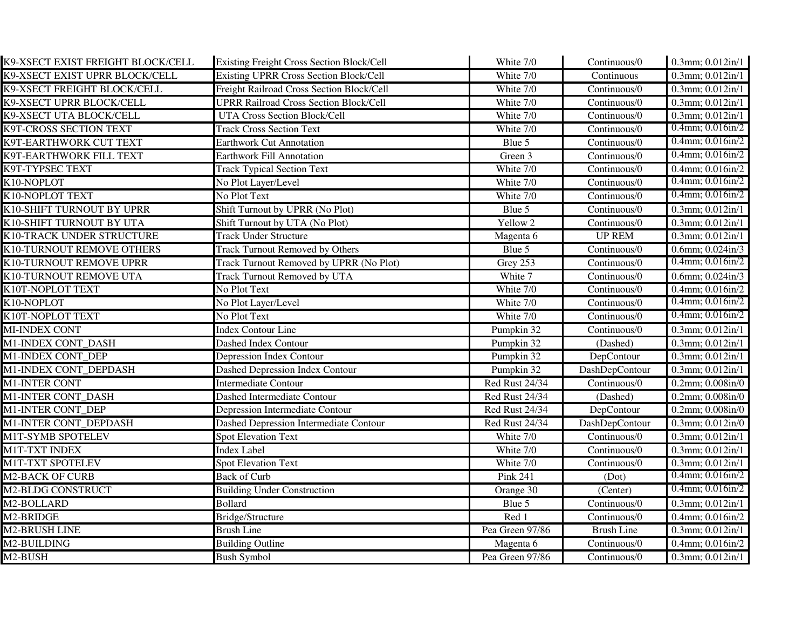| K9-XSECT EXIST FREIGHT BLOCK/CELL | <b>Existing Freight Cross Section Block/Cell</b> | White 7/0       | Continuous/0      | 0.3mm; 0.012in/1               |
|-----------------------------------|--------------------------------------------------|-----------------|-------------------|--------------------------------|
| K9-XSECT EXIST UPRR BLOCK/CELL    | Existing UPRR Cross Section Block/Cell           | White 7/0       | Continuous        | 0.3mm; $\overline{0.012}$ in/1 |
| K9-XSECT FREIGHT BLOCK/CELL       | Freight Railroad Cross Section Block/Cell        | White 7/0       | Continuous/0      | $0.3$ mm; $0.012$ in/1         |
| K9-XSECT UPRR BLOCK/CELL          | <b>UPRR Railroad Cross Section Block/Cell</b>    | White 7/0       | Continuous/0      | $0.3$ mm; $0.012$ in/1         |
| K9-XSECT UTA BLOCK/CELL           | <b>UTA Cross Section Block/Cell</b>              | White 7/0       | Continuous/0      | $0.3$ mm; $0.012$ in/1         |
| K9T-CROSS SECTION TEXT            | <b>Track Cross Section Text</b>                  | White 7/0       | Continuous/0      | $0.4$ mm; $0.016$ in/2         |
| K9T-EARTHWORK CUT TEXT            | <b>Earthwork Cut Annotation</b>                  | Blue 5          | Continuous/0      | $0.4$ mm; $0.016$ in/2         |
| K9T-EARTHWORK FILL TEXT           | <b>Earthwork Fill Annotation</b>                 | Green 3         | Continuous/0      | $0.4$ mm; $0.016$ in/2         |
| K9T-TYPSEC TEXT                   | <b>Track Typical Section Text</b>                | White 7/0       | Continuous/0      | $0.4$ mm; $0.016$ in/2         |
| K10-NOPLOT                        | No Plot Layer/Level                              | White 7/0       | Continuous/0      | $0.4$ mm; $0.016$ in/2         |
| K10-NOPLOT TEXT                   | No Plot Text                                     | White 7/0       | Continuous/0      | $0.4$ mm; $0.016$ in/2         |
| K10-SHIFT TURNOUT BY UPRR         | Shift Turnout by UPRR (No Plot)                  | Blue 5          | Continuous/0      | $0.3$ mm; $0.012$ in/1         |
| K10-SHIFT TURNOUT BY UTA          | Shift Turnout by UTA (No Plot)                   | Yellow 2        | Continuous/0      | 0.3mm; 0.012in/1               |
| K10-TRACK UNDER STRUCTURE         | <b>Track Under Structure</b>                     | Magenta 6       | <b>UP REM</b>     | 0.3mm; 0.012in/1               |
| K10-TURNOUT REMOVE OTHERS         | <b>Track Turnout Removed by Others</b>           | Blue 5          | Continuous/0      | $0.6$ mm; $0.024$ in/3         |
| K10-TURNOUT REMOVE UPRR           | Track Turnout Removed by UPRR (No Plot)          | Grey 253        | Continuous/0      | $0.4$ mm; $0.016$ in/2         |
| K10-TURNOUT REMOVE UTA            | Track Turnout Removed by UTA                     | White 7         | Continuous/0      | $0.6$ mm; $0.024$ in/3         |
| K10T-NOPLOT TEXT                  | No Plot Text                                     | White 7/0       | Continuous/0      | $0.4$ mm; $0.016$ in/2         |
| K10-NOPLOT                        | No Plot Layer/Level                              | White 7/0       | Continuous/0      | $0.4$ mm; $0.016$ in/2         |
| K10T-NOPLOT TEXT                  | No Plot Text                                     | White 7/0       | Continuous/0      | $0.4$ mm; $0.016$ in/2         |
| MI-INDEX CONT                     | <b>Index Contour Line</b>                        | Pumpkin 32      | Continuous/0      | $0.3$ mm; $0.012$ in/1         |
| M1-INDEX CONT_DASH                | Dashed Index Contour                             | Pumpkin 32      | (Dashed)          | 0.3mm; 0.012in/1               |
| M1-INDEX CONT_DEP                 | <b>Depression Index Contour</b>                  | Pumpkin 32      | DepContour        | $0.3$ mm; $0.012$ in/1         |
| M1-INDEX CONT_DEPDASH             | Dashed Depression Index Contour                  | Pumpkin 32      | DashDepContour    | 0.3mm; 0.012in/1               |
| <b>M1-INTER CONT</b>              | <b>Intermediate Contour</b>                      | Red Rust 24/34  | Continuous/0      | $0.2$ mm; $0.008$ in/ $0$      |
| M1-INTER CONT_DASH                | Dashed Intermediate Contour                      | Red Rust 24/34  | (Dashed)          | $0.2$ mm; $0.008$ in/ $0$      |
| <b>M1-INTER CONT DEP</b>          | Depression Intermediate Contour                  | Red Rust 24/34  | DepContour        | $0.2$ mm; $0.008$ in/ $0$      |
| M1-INTER CONT_DEPDASH             | Dashed Depression Intermediate Contour           | Red Rust 24/34  | DashDepContour    | $0.3$ mm; $0.012$ in/ $0$      |
| M1T-SYMB SPOTELEV                 | <b>Spot Elevation Text</b>                       | White 7/0       | Continuous/0      | 0.3mm; 0.012in/1               |
| M1T-TXT INDEX                     | <b>Index Label</b>                               | White 7/0       | Continuous/0      | $0.3$ mm; $0.012$ in/1         |
| <b>M1T-TXT SPOTELEV</b>           | <b>Spot Elevation Text</b>                       | White 7/0       | Continuous/0      | $0.3$ mm; $0.012$ in/1         |
| <b>M2-BACK OF CURB</b>            | <b>Back of Curb</b>                              | <b>Pink 241</b> | (Dot)             | $0.4$ mm; $0.016$ in/2         |
| <b>M2-BLDG CONSTRUCT</b>          | <b>Building Under Construction</b>               | Orange 30       | (Center)          | $0.4$ mm; $0.016$ in/2         |
| M2-BOLLARD                        | <b>Bollard</b>                                   | Blue 5          | Continuous/0      | 0.3mm; 0.012in/1               |
| M2-BRIDGE                         | Bridge/Structure                                 | Red 1           | Continuous/0      | 0.4mm; 0.016in/2               |
| <b>M2-BRUSH LINE</b>              | <b>Brush Line</b>                                | Pea Green 97/86 | <b>Brush Line</b> | 0.3mm; 0.012in/1               |
| M2-BUILDING                       | <b>Building Outline</b>                          | Magenta 6       | Continuous/0      | $0.4$ mm; $0.016$ in/2         |
| M2-BUSH                           | <b>Bush Symbol</b>                               | Pea Green 97/86 | Continuous/0      | $0.3$ mm; $0.012$ in/1         |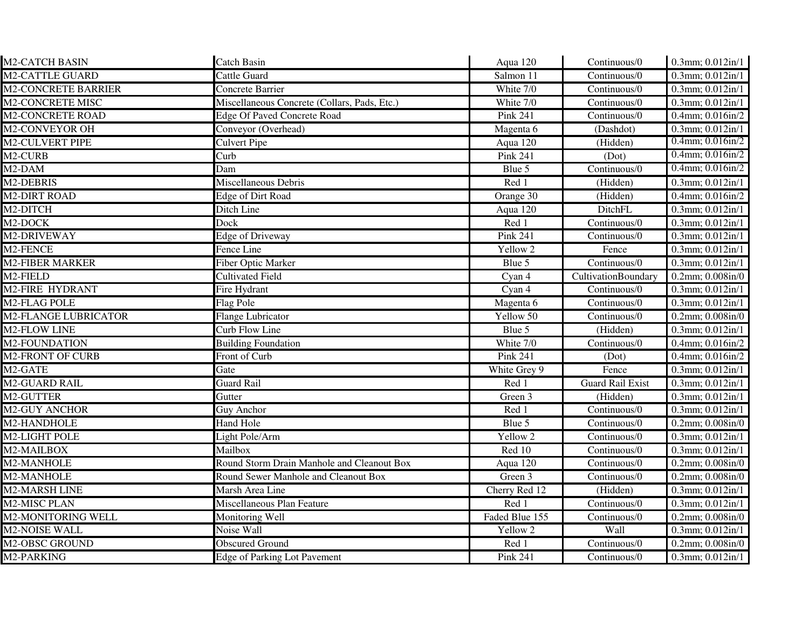| <b>M2-CATCH BASIN</b>       | <b>Catch Basin</b>                           | Aqua 120        | Continuous/0            | 0.3mm; 0.012in/1           |
|-----------------------------|----------------------------------------------|-----------------|-------------------------|----------------------------|
| <b>M2-CATTLE GUARD</b>      | Cattle Guard                                 | Salmon 11       | Continuous/0            | $0.3$ mm; $0.012$ in/1     |
| <b>M2-CONCRETE BARRIER</b>  | Concrete Barrier                             | White 7/0       | Continuous/0            | $0.3$ mm; $0.012$ in/1     |
| <b>M2-CONCRETE MISC</b>     | Miscellaneous Concrete (Collars, Pads, Etc.) | White 7/0       | Continuous/0            | 0.3mm; 0.012in/1           |
| <b>M2-CONCRETE ROAD</b>     | <b>Edge Of Paved Concrete Road</b>           | <b>Pink 241</b> | Continuous/0            | 0.4mm; 0.016in/2           |
| M2-CONVEYOR OH              | Conveyor (Overhead)                          | Magenta 6       | (Dashdot)               | $0.3$ mm; $0.012$ in/1     |
| <b>M2-CULVERT PIPE</b>      | <b>Culvert Pipe</b>                          | Aqua $120$      | (Hidden)                | $0.4$ mm; $0.016$ in/2     |
| M2-CURB                     | Curb                                         | Pink 241        | (Dot)                   | $0.4$ mm; $0.016$ in/2     |
| M2-DAM                      | Dam                                          | Blue 5          | Continuous/0            | $0.4$ mm; $0.016$ in/2     |
| M2-DEBRIS                   | Miscellaneous Debris                         | Red 1           | (Hidden)                | $0.3$ mm; $0.012$ in/1     |
| <b>M2-DIRT ROAD</b>         | Edge of Dirt Road                            | Orange 30       | (Hidden)                | 0.4mm; 0.016in/2           |
| M2-DITCH                    | Ditch Line                                   | Aqua 120        | DitchFL                 | 0.3mm; 0.012in/1           |
| M <sub>2</sub> -DOCK        | Dock                                         | Red 1           | Continuous/0            | $0.3$ mm; $0.012$ in/1     |
| M2-DRIVEWAY                 | Edge of Driveway                             | <b>Pink 241</b> | Continuous/0            | 0.3mm; 0.012in/1           |
| M2-FENCE                    | Fence Line                                   | Yellow 2        | Fence                   | 0.3mm; 0.012in/1           |
| <b>M2-FIBER MARKER</b>      | Fiber Optic Marker                           | Blue 5          | Continuous/0            | $0.3$ mm; $0.012$ in/1     |
| M2-FIELD                    | <b>Cultivated Field</b>                      | Cyan 4          | CultivationBoundary     | 0.2mm; 0.008in/0           |
| <b>M2-FIRE HYDRANT</b>      | Fire Hydrant                                 | Cyan 4          | Continuous/0            | 0.3mm; 0.012in/1           |
| M <sub>2</sub> -FLAG POLE   | Flag Pole                                    | Magenta 6       | Continuous/0            | 0.3mm; 0.012in/1           |
| <b>M2-FLANGE LUBRICATOR</b> | <b>Flange Lubricator</b>                     | Yellow 50       | Continuous/0            | $0.2$ mm; $0.008$ in/ $0$  |
| M2-FLOW LINE                | <b>Curb Flow Line</b>                        | Blue 5          | (Hidden)                | $0.3$ mm; $0.012$ in/1     |
| <b>M2-FOUNDATION</b>        | <b>Building Foundation</b>                   | White 7/0       | Continuous/0            | 0.4mm; 0.016in/2           |
| <b>M2-FRONT OF CURB</b>     | Front of Curb                                | <b>Pink 241</b> | (Dot)                   | $0.4$ mm; $0.016$ in/2     |
| M2-GATE                     | Gate                                         | White Grey 9    | Fence                   | $0.3$ mm; $0.012$ in/1     |
| <b>M2-GUARD RAIL</b>        | <b>Guard Rail</b>                            | Red 1           | <b>Guard Rail Exist</b> | 0.3mm; 0.012in/1           |
| M2-GUTTER                   | Gutter                                       | Green 3         | (Hidden)                | $0.3$ mm; $0.012$ in/1     |
| <b>M2-GUY ANCHOR</b>        | Guy Anchor                                   | Red 1           | Continuous/0            | 0.3mm; 0.012in/1           |
| M2-HANDHOLE                 | <b>Hand Hole</b>                             | Blue 5          | Continuous/0            | 0.2mm; 0.008in/0           |
| M2-LIGHT POLE               | Light Pole/Arm                               | Yellow 2        | Continuous/0            | 0.3mm; 0.012in/1           |
| M2-MAILBOX                  | Mailbox                                      | Red 10          | Continuous/0            | 0.3mm; $0.012 \text{in}/1$ |
| M2-MANHOLE                  | Round Storm Drain Manhole and Cleanout Box   | Aqua 120        | Continuous/0            | 0.2mm; 0.008in/0           |
| M2-MANHOLE                  | Round Sewer Manhole and Cleanout Box         | Green 3         | Continuous/0            | $0.2$ mm; $0.008$ in/ $0$  |
| <b>M2-MARSH LINE</b>        | Marsh Area Line                              | Cherry Red 12   | (Hidden)                | 0.3mm; 0.012in/1           |
| M2-MISC PLAN                | Miscellaneous Plan Feature                   | Red 1           | Continuous/0            | 0.3mm; 0.012in/1           |
| <b>M2-MONITORING WELL</b>   | <b>Monitoring Well</b>                       | Faded Blue 155  | Continuous/0            | $0.2$ mm; $0.008$ in/ $0$  |
| <b>M2-NOISE WALL</b>        | Noise Wall                                   | Yellow 2        | Wall                    | $0.3$ mm; $0.012$ in/1     |
| <b>M2-OBSC GROUND</b>       | <b>Obscured Ground</b>                       | Red 1           | Continuous/0            | $0.2$ mm; $0.008$ in/ $0$  |
| M2-PARKING                  | <b>Edge of Parking Lot Pavement</b>          | Pink 241        | Continuous/0            | $0.3$ mm; $0.012$ in/1     |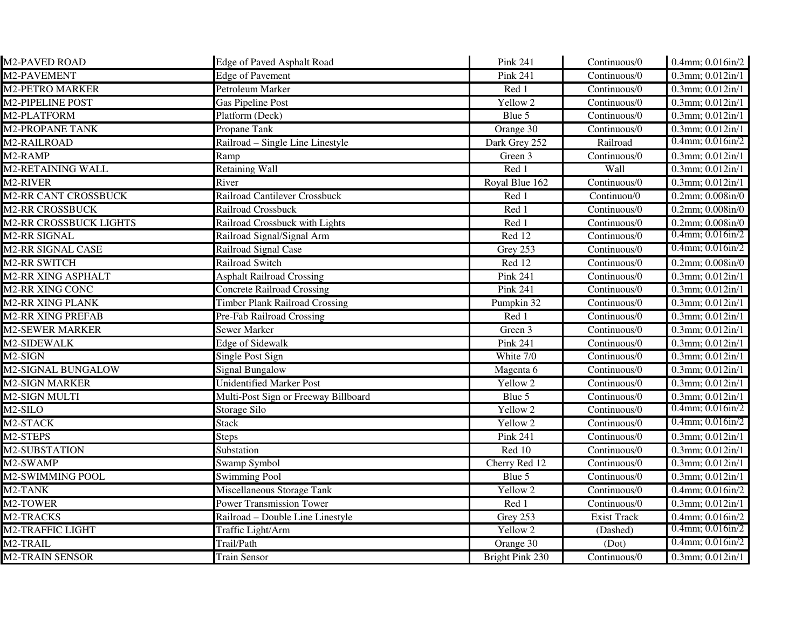| M2-PAVED ROAD                 | <b>Edge of Paved Asphalt Road</b>     | Pink 241        | Continuous/0                      | 0.4mm; 0.016in/2                  |
|-------------------------------|---------------------------------------|-----------------|-----------------------------------|-----------------------------------|
| M2-PAVEMENT                   | <b>Edge of Pavement</b>               | <b>Pink 241</b> | Continuous/0                      | 0.3mm; 0.012in/1                  |
| <b>M2-PETRO MARKER</b>        | Petroleum Marker                      | Red 1           | Continuous/0                      | $0.3$ mm; $0.012$ in/1            |
| <b>M2-PIPELINE POST</b>       | <b>Gas Pipeline Post</b>              | Yellow 2        | Continuous/0                      | 0.3mm; 0.012in/1                  |
| M2-PLATFORM                   | Platform (Deck)                       | Blue 5          | Continuous/0                      | 0.3mm; 0.012in/1                  |
| <b>M2-PROPANE TANK</b>        | Propane Tank                          | Orange 30       | Continuous/0                      | $0.3$ mm; $0.012$ in/1            |
| M2-RAILROAD                   | Railroad – Single Line Linestyle      | Dark Grey 252   | Railroad                          | $0.4$ mm; $0.016$ in/2            |
| M2-RAMP                       | Ramp                                  | Green 3         | Continuous/0                      | 0.3mm; 0.012in/1                  |
| M2-RETAINING WALL             | <b>Retaining Wall</b>                 | Red 1           | Wall                              | 0.3mm; 0.012in/1                  |
| M <sub>2</sub> -RIVER         | River                                 | Royal Blue 162  | Continuous/0                      | $0.3$ mm; $0.012$ in/1            |
| <b>M2-RR CANT CROSSBUCK</b>   | Railroad Cantilever Crossbuck         | Red 1           | Continuou/0                       | $0.2$ mm; $0.008$ in/ $0$         |
| <b>M2-RR CROSSBUCK</b>        | Railroad Crossbuck                    | Red 1           | Continuous/0                      | $0.2$ mm; $0.008$ in/ $0$         |
| <b>M2-RR CROSSBUCK LIGHTS</b> | Railroad Crossbuck with Lights        | Red 1           | Continuous/0                      | $0.2$ mm; $0.008$ in/ $0$         |
| <b>M2-RR SIGNAL</b>           | Railroad Signal/Signal Arm            | Red 12          | Continuous/0                      | $0.4$ mm; $0.016$ in/2            |
| M2-RR SIGNAL CASE             | Railroad Signal Case                  | Grey 253        | Continuous/0                      | $0.4$ mm; $0.016$ in/2            |
| M2-RR SWITCH                  | Railroad Switch                       | Red 12          | Continuous/0                      | $0.2$ mm; $0.008$ in/ $0$         |
| <b>M2-RR XING ASPHALT</b>     | <b>Asphalt Railroad Crossing</b>      | Pink 241        | Continuous/0                      | $0.3$ mm; $0.012$ in/1            |
| <b>M2-RR XING CONC</b>        | <b>Concrete Railroad Crossing</b>     | <b>Pink 241</b> | Continuous/0                      | 0.3mm; 0.012in/1                  |
| <b>M2-RR XING PLANK</b>       | <b>Timber Plank Railroad Crossing</b> | Pumpkin 32      | Continuous/0                      | 0.3mm; 0.012in/1                  |
| <b>M2-RR XING PREFAB</b>      | Pre-Fab Railroad Crossing             | Red 1           | Continuous/0                      | 0.3mm; 0.012in/1                  |
| <b>M2-SEWER MARKER</b>        | <b>Sewer Marker</b>                   | Green 3         | Continuous/0                      | 0.3mm; 0.012in/1                  |
| M2-SIDEWALK                   | <b>Edge of Sidewalk</b>               | Pink 241        | Continuous/0                      | 0.3mm; 0.012in/1                  |
| M2-SIGN                       | Single Post Sign                      | White 7/0       | Continuous/0                      | 0.3mm; 0.012in/1                  |
| <b>M2-SIGNAL BUNGALOW</b>     | <b>Signal Bungalow</b>                | Magenta 6       | Continuous/0                      | 0.3mm; 0.012in/1                  |
| <b>M2-SIGN MARKER</b>         | <b>Unidentified Marker Post</b>       | Yellow 2        | Continuous/0                      | $0.3$ mm; $0.012$ in/1            |
| <b>M2-SIGN MULTI</b>          | Multi-Post Sign or Freeway Billboard  | Blue 5          | Continuous/0                      | $0.3$ mm; $0.012$ in/1            |
| M2-SILO                       | Storage Silo                          | Yellow 2        | Continuous/0                      | $0.4$ mm; $0.016$ in/2            |
| M <sub>2</sub> -STACK         | <b>Stack</b>                          | Yellow 2        | Continuous/0                      | $0.4$ mm; $0.016$ in/2            |
| M2-STEPS                      | <b>Steps</b>                          | Pink 241        | Continuous/0                      | 0.3mm; 0.012in/1                  |
| M2-SUBSTATION                 | Substation                            | Red 10          | Continuous/0                      | 0.3mm; 0.012in/1                  |
| M2-SWAMP                      | Swamp Symbol                          | Cherry Red 12   | $\overline{\text{Continuous}}$ /0 | $\overline{0.3}$ mm; $0.012$ in/1 |
| M2-SWIMMING POOL              | <b>Swimming Pool</b>                  | Blue 5          | Continuous/0                      | 0.3mm; 0.012in/1                  |
| M <sub>2</sub> -TANK          | Miscellaneous Storage Tank            | Yellow 2        | Continuous/0                      | 0.4mm; 0.016in/2                  |
| M2-TOWER                      | <b>Power Transmission Tower</b>       | Red 1           | Continuous/0                      | 0.3mm; 0.012in/1                  |
| M <sub>2</sub> -TRACKS        | Railroad - Double Line Linestyle      | Grey 253        | <b>Exist Track</b>                | 0.4mm; 0.016in/2                  |
| <b>M2-TRAFFIC LIGHT</b>       | Traffic Light/Arm                     | Yellow 2        | (Dashed)                          | $0.4$ mm; $0.016$ in/2            |
| M2-TRAIL                      | Trail/Path                            | Orange 30       | (Dot)                             | $0.4$ mm; $0.016$ in/2            |
| <b>M2-TRAIN SENSOR</b>        | <b>Train Sensor</b>                   | Bright Pink 230 | Continuous/0                      | $0.3$ mm; $0.012$ in/1            |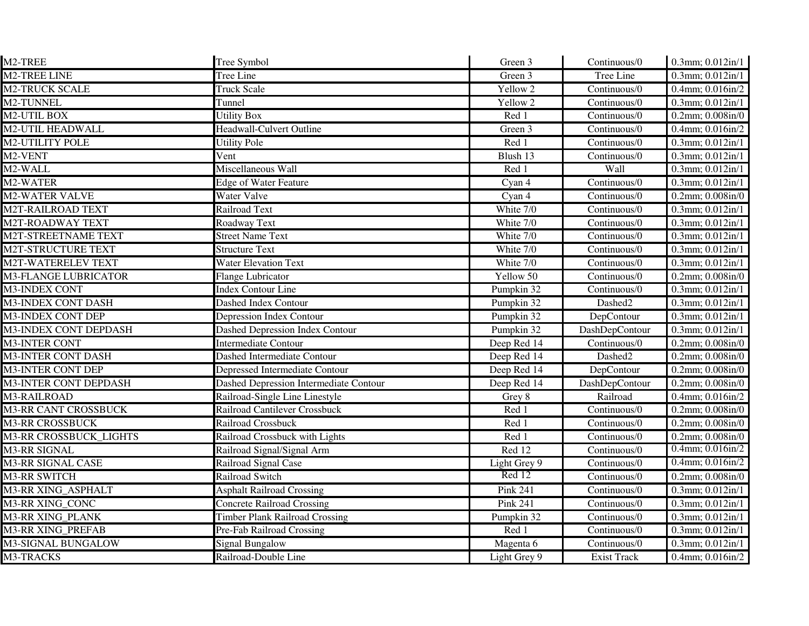| M2-TREE                      | Tree Symbol                                   | Green 3             | Continuous/0       | 0.3mm; 0.012in/1                      |
|------------------------------|-----------------------------------------------|---------------------|--------------------|---------------------------------------|
| <b>M2-TREE LINE</b>          | Tree Line                                     | Green 3             | Tree Line          | $0.3$ mm; $0.012$ in/1                |
| <b>M2-TRUCK SCALE</b>        | <b>Truck Scale</b>                            | Yellow <sub>2</sub> | Continuous/0       | 0.4mm; 0.016in/2                      |
| M2-TUNNEL                    | Tunnel                                        | Yellow 2            | Continuous/0       | $0.3$ mm; $0.012$ in/1                |
| M2-UTIL BOX                  | <b>Utility Box</b>                            | Red 1               | Continuous/0       | 0.2mm; 0.008in/0                      |
| <b>M2-UTIL HEADWALL</b>      | Headwall-Culvert Outline                      | Green 3             | Continuous/0       | 0.4mm; 0.016in/2                      |
| <b>M2-UTILITY POLE</b>       | <b>Utility Pole</b>                           | Red 1               | Continuous/0       | $0.3$ mm; $0.012$ in/1                |
| M2-VENT                      | Vent                                          | Blush 13            | Continuous/0       | 0.3mm; 0.012in/1                      |
| M <sub>2</sub> -WALL         | Miscellaneous Wall                            | $Red\overline{1}$   | Wall               | $0.3$ mm; $0.012$ in/1                |
| M2-WATER                     | <b>Edge of Water Feature</b>                  | Cyan 4              | Continuous/0       | 0.3mm; 0.012in/1                      |
| <b>M2-WATER VALVE</b>        | Water Valve                                   | Cyan 4              | Continuous/0       | $0.2$ mm; $0.008$ in/ $0$             |
| <b>M2T-RAILROAD TEXT</b>     | <b>Railroad Text</b>                          | White 7/0           | Continuous/0       | 0.3mm; 0.012in/1                      |
| <b>M2T-ROADWAY TEXT</b>      | Roadway Text                                  | White 7/0           | Continuous/0       | 0.3mm; $\overline{0.012 \text{in}/1}$ |
| M2T-STREETNAME TEXT          | <b>Street Name Text</b>                       | White 7/0           | Continuous/0       | 0.3mm; 0.012in/1                      |
| M2T-STRUCTURE TEXT           | <b>Structure Text</b>                         | White 7/0           | Continuous/0       | 0.3mm; 0.012in/1                      |
| M2T-WATERELEV TEXT           | <b>Water Elevation Text</b>                   | White 7/0           | Continuous/0       | 0.3mm; 0.012in/1                      |
| <b>M3-FLANGE LUBRICATOR</b>  | <b>Flange Lubricator</b>                      | Yellow 50           | Continuous/0       | $0.2$ mm; $0.008$ in/ $0$             |
| <b>M3-INDEX CONT</b>         | <b>Index Contour Line</b>                     | Pumpkin 32          | Continuous/0       | 0.3mm; 0.012in/1                      |
| M3-INDEX CONT DASH           | Dashed Index Contour                          | Pumpkin 32          | Dashed2            | 0.3mm; 0.012in/1                      |
| M3-INDEX CONT DEP            | <b>Depression Index Contour</b>               | Pumpkin 32          | DepContour         | 0.3mm; 0.012in/1                      |
| M3-INDEX CONT DEPDASH        | <b>Dashed Depression Index Contour</b>        | Pumpkin 32          | DashDepContour     | 0.3mm; 0.012in/1                      |
| <b>M3-INTER CONT</b>         | <b>Intermediate Contour</b>                   | Deep Red 14         | Continuous/0       | $0.2$ mm; $0.008$ in/ $0$             |
| <b>M3-INTER CONT DASH</b>    | Dashed Intermediate Contour                   | Deep Red 14         | Dashed2            | $0.2$ mm; $0.008$ in/ $0$             |
| <b>M3-INTER CONT DEP</b>     | Depressed Intermediate Contour                | Deep Red 14         | DepContour         | $0.2$ mm; $0.008$ in/ $0$             |
| <b>M3-INTER CONT DEPDASH</b> | <b>Dashed Depression Intermediate Contour</b> | Deep Red 14         | DashDepContour     | $0.2$ mm; $0.008$ in/ $0$             |
| M3-RAILROAD                  | Railroad-Single Line Linestyle                | Grey 8              | Railroad           | 0.4mm; 0.016in/2                      |
| <b>M3-RR CANT CROSSBUCK</b>  | Railroad Cantilever Crossbuck                 | Red 1               | Continuous/0       | 0.2mm; 0.008in/0                      |
| <b>M3-RR CROSSBUCK</b>       | Railroad Crossbuck                            | Red 1               | Continuous/0       | $0.2$ mm; $0.008$ in/ $0$             |
| M3-RR CROSSBUCK LIGHTS       | Railroad Crossbuck with Lights                | Red 1               | Continuous/0       | $0.2$ mm; $0.008$ in/ $0$             |
| <b>M3-RR SIGNAL</b>          | Railroad Signal/Signal Arm                    | $\overline{Red}$ 12 | Continuous/0       | $0.4$ mm; $0.016$ in/2                |
| <b>M3-RR SIGNAL CASE</b>     | Railroad Signal Case                          | Light Grey 9        | Continuous/0       | $0.4$ mm; $0.016$ in/2                |
| <b>M3-RR SWITCH</b>          | Railroad Switch                               | Red 12              | Continuous/0       | $0.2$ mm; $0.008$ in/ $0$             |
| M3-RR XING ASPHALT           | <b>Asphalt Railroad Crossing</b>              | Pink 241            | Continuous/0       | $0.3$ mm; $0.012$ in/1                |
| M3-RR XING_CONC              | <b>Concrete Railroad Crossing</b>             | Pink 241            | Continuous/0       | 0.3mm; 0.012in/1                      |
| M3-RR XING_PLANK             | <b>Timber Plank Railroad Crossing</b>         | Pumpkin 32          | Continuous/0       | 0.3mm; 0.012in/1                      |
| <b>M3-RR XING_PREFAB</b>     | Pre-Fab Railroad Crossing                     | Red 1               | Continuous/0       | 0.3mm; 0.012in/1                      |
| M3-SIGNAL BUNGALOW           | <b>Signal Bungalow</b>                        | Magenta 6           | Continuous/0       | $0.3$ mm; $0.012$ in/1                |
| M3-TRACKS                    | Railroad-Double Line                          | Light Grey 9        | <b>Exist Track</b> | $0.4$ mm; $0.016$ in/2                |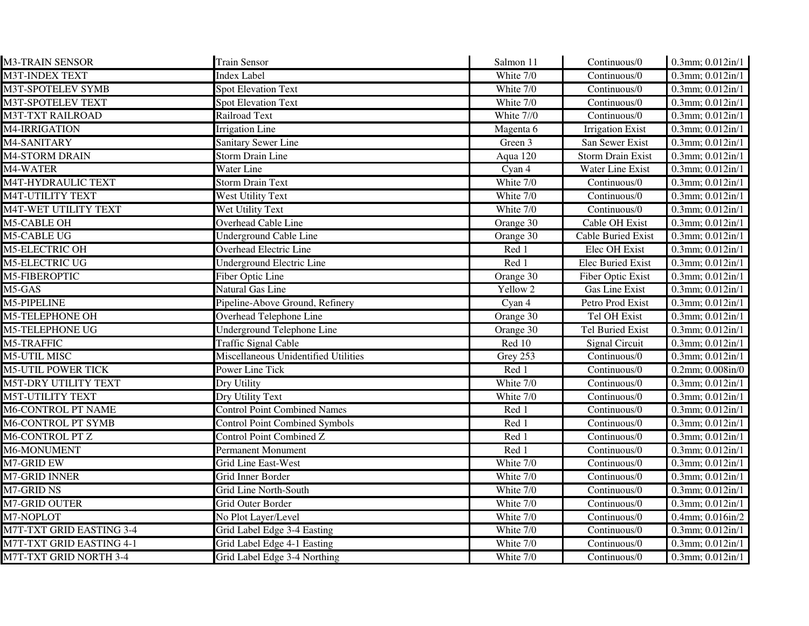| <b>M3-TRAIN SENSOR</b>          | <b>Train Sensor</b>                   | Salmon 11  | Continuous/0                      | 0.3mm; 0.012in/1          |
|---------------------------------|---------------------------------------|------------|-----------------------------------|---------------------------|
| <b>M3T-INDEX TEXT</b>           | Index Label                           | White 7/0  | Continuous/0                      | $0.3$ mm; $0.012$ in/1    |
| M3T-SPOTELEV SYMB               | <b>Spot Elevation Text</b>            | White 7/0  | Continuous/0                      | 0.3mm; 0.012in/1          |
| M3T-SPOTELEV TEXT               | <b>Spot Elevation Text</b>            | White 7/0  | Continuous/0                      | 0.3mm; 0.012in/1          |
| <b>M3T-TXT RAILROAD</b>         | Railroad Text                         | White 7//0 | $\overline{\text{Continuous}}$ /0 | 0.3mm; 0.012in/1          |
| M4-IRRIGATION                   | <b>Irrigation Line</b>                | Magenta 6  | <b>Irrigation Exist</b>           | $0.3$ mm; $0.012$ in/1    |
| M4-SANITARY                     | <b>Sanitary Sewer Line</b>            | Green 3    | San Sewer Exist                   | $0.3$ mm; $0.012$ in/1    |
| M4-STORM DRAIN                  | <b>Storm Drain Line</b>               | Aqua 120   | <b>Storm Drain Exist</b>          | $0.3$ mm; $0.012$ in/1    |
| M4-WATER                        | Water Line                            | Cyan 4     | Water Line Exist                  | $0.3$ mm; $0.012$ in/1    |
| M4T-HYDRAULIC TEXT              | <b>Storm Drain Text</b>               | White 7/0  | Continuous/0                      | $0.3$ mm; $0.012$ in/1    |
| <b>M4T-UTILITY TEXT</b>         | West Utility Text                     | White 7/0  | Continuous/0                      | $0.3$ mm; $0.012$ in/1    |
| M4T-WET UTILITY TEXT            | Wet Utility Text                      | White 7/0  | Continuous/0                      | 0.3mm; 0.012in/1          |
| <b>M5-CABLE OH</b>              | Overhead Cable Line                   | Orange 30  | Cable OH Exist                    | $0.3$ mm; $0.012$ in/1    |
| <b>M5-CABLE UG</b>              | <b>Underground Cable Line</b>         | Orange 30  | <b>Cable Buried Exist</b>         | $0.3$ mm; $0.012$ in/1    |
| <b>M5-ELECTRIC OH</b>           | Overhead Electric Line                | Red 1      | Elec OH Exist                     | 0.3mm; 0.012in/1          |
| <b>M5-ELECTRIC UG</b>           | <b>Underground Electric Line</b>      | Red 1      | Elec Buried Exist                 | 0.3mm; 0.012in/1          |
| M5-FIBEROPTIC                   | Fiber Optic Line                      | Orange 30  | Fiber Optic Exist                 | 0.3mm; 0.012in/1          |
| M5-GAS                          | Natural Gas Line                      | Yellow 2   | Gas Line Exist                    | 0.3mm; 0.012in/1          |
| M5-PIPELINE                     | Pipeline-Above Ground, Refinery       | Cyan 4     | Petro Prod Exist                  | 0.3mm; 0.012in/1          |
| <b>M5-TELEPHONE OH</b>          | Overhead Telephone Line               | Orange 30  | Tel OH Exist                      | 0.3mm; 0.012in/1          |
| <b>M5-TELEPHONE UG</b>          | <b>Underground Telephone Line</b>     | Orange 30  | <b>Tel Buried Exist</b>           | 0.3mm; 0.012in/1          |
| <b>M5-TRAFFIC</b>               | <b>Traffic Signal Cable</b>           | Red 10     | <b>Signal Circuit</b>             | $0.3$ mm; $0.012$ in/1    |
| <b>M5-UTIL MISC</b>             | Miscellaneous Unidentified Utilities  | Grey 253   | Continuous/0                      | $0.3$ mm; $0.012$ in/1    |
| <b>M5-UTIL POWER TICK</b>       | Power Line Tick                       | Red 1      | Continuous/0                      | $0.2$ mm; $0.008$ in/ $0$ |
| M5T-DRY UTILITY TEXT            | Dry Utility                           | White 7/0  | Continuous/0                      | $0.3$ mm; $0.012$ in/1    |
| <b>M5T-UTILITY TEXT</b>         | Dry Utility Text                      | White 7/0  | Continuous/0                      | 0.3mm; 0.012in/1          |
| <b>M6-CONTROL PT NAME</b>       | <b>Control Point Combined Names</b>   | Red 1      | Continuous/0                      | 0.3mm; 0.012in/1          |
| <b>M6-CONTROL PT SYMB</b>       | <b>Control Point Combined Symbols</b> | Red 1      | Continuous/0                      | 0.3mm; 0.012in/1          |
| M6-CONTROL PT Z                 | <b>Control Point Combined Z</b>       | Red 1      | Continuous/0                      | 0.3mm; 0.012in/1          |
| M6-MONUMENT                     | <b>Permanent Monument</b>             | Red 1      | Continuous/0                      | 0.3mm; 0.012in/1          |
| M7-GRID EW                      | <b>Grid Line East-West</b>            | White 7/0  | Continuous/0                      | 0.3mm; 0.012in/1          |
| M7-GRID INNER                   | Grid Inner Border                     | White 7/0  | Continuous/0                      | 0.3mm; 0.012in/1          |
| <b>M7-GRID NS</b>               | Grid Line North-South                 | White 7/0  | Continuous/0                      | 0.3mm; 0.012in/1          |
| <b>M7-GRID OUTER</b>            | Grid Outer Border                     | White 7/0  | Continuous/0                      | $0.3$ mm; $0.012$ in/1    |
| M7-NOPLOT                       | No Plot Layer/Level                   | White 7/0  | Continuous/0                      | 0.4mm; 0.016in/2          |
| M7T-TXT GRID EASTING 3-4        | Grid Label Edge 3-4 Easting           | White 7/0  | Continuous/0                      | 0.3mm; 0.012in/1          |
| <b>M7T-TXT GRID EASTING 4-1</b> | Grid Label Edge 4-1 Easting           | White 7/0  | Continuous/0                      | $0.3$ mm; $0.012$ in/1    |
| <b>M7T-TXT GRID NORTH 3-4</b>   | Grid Label Edge 3-4 Northing          | White 7/0  | Continuous/0                      | $0.3$ mm; $0.012$ in/1    |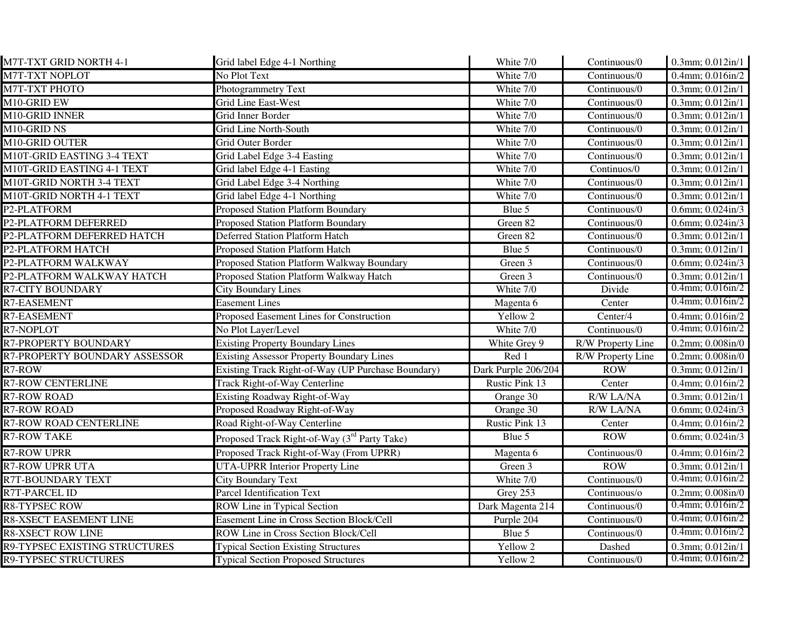| M7T-TXT GRID NORTH 4-1        | Grid label Edge 4-1 Northing                             | White 7/0           | Continuous/0                      | $0.3$ mm; $0.012$ in/1    |
|-------------------------------|----------------------------------------------------------|---------------------|-----------------------------------|---------------------------|
| <b>M7T-TXT NOPLOT</b>         | No Plot Text                                             | White 7/0           | Continuous/0                      | $0.4$ mm; $0.016$ in/2    |
| <b>M7T-TXT PHOTO</b>          | Photogrammetry Text                                      | White 7/0           | Continuous/0                      | 0.3mm; 0.012in/1          |
| M10-GRID EW                   | Grid Line East-West                                      | White 7/0           | Continuous/0                      | $0.3$ mm; $0.012$ in/1    |
| M10-GRID INNER                | Grid Inner Border                                        | White 7/0           | Continuous/0                      | $0.3$ mm; $0.012$ in/1    |
| M10-GRID NS                   | Grid Line North-South                                    | White 7/0           | Continuous/0                      | $0.3$ mm; $0.012$ in/1    |
| M10-GRID OUTER                | Grid Outer Border                                        | White 7/0           | Continuous/0                      | $0.3$ mm; $0.012$ in/1    |
| M10T-GRID EASTING 3-4 TEXT    | Grid Label Edge 3-4 Easting                              | White 7/0           | Continuous/0                      | 0.3mm; 0.012in/1          |
| M10T-GRID EASTING 4-1 TEXT    | Grid label Edge 4-1 Easting                              | White 7/0           | Continuos/0                       | $0.3$ mm; $0.012$ in/1    |
| M10T-GRID NORTH 3-4 TEXT      | Grid Label Edge 3-4 Northing                             | White 7/0           | Continuous/0                      | $0.3$ mm; $0.012$ in/1    |
| M10T-GRID NORTH 4-1 TEXT      | Grid label Edge 4-1 Northing                             | White 7/0           | $\overline{\text{Continuous}}$ /0 | 0.3mm; 0.012in/1          |
| P2-PLATFORM                   | <b>Proposed Station Platform Boundary</b>                | Blue 5              | Continuous/0                      | 0.6mm; 0.024in/3          |
| P2-PLATFORM DEFERRED          | <b>Proposed Station Platform Boundary</b>                | Green 82            | Continuous/0                      | $0.6$ mm; $0.024$ in/3    |
| P2-PLATFORM DEFERRED HATCH    | <b>Deferred Station Platform Hatch</b>                   | Green 82            | Continuous/0                      | $0.3$ mm; $0.012$ in/1    |
| P2-PLATFORM HATCH             | <b>Proposed Station Platform Hatch</b>                   | Blue 5              | Continuous/0                      | 0.3mm; 0.012in/1          |
| P2-PLATFORM WALKWAY           | Proposed Station Platform Walkway Boundary               | Green 3             | Continuous/0                      | 0.6mm; 0.024in/3          |
| P2-PLATFORM WALKWAY HATCH     | Proposed Station Platform Walkway Hatch                  | Green 3             | Continuous/0                      | $0.3$ mm; $0.012$ in/1    |
| <b>R7-CITY BOUNDARY</b>       | <b>City Boundary Lines</b>                               | White 7/0           | Divide                            | $0.4$ mm; $0.016$ in/2    |
| R7-EASEMENT                   | <b>Easement Lines</b>                                    | Magenta 6           | Center                            | $0.4$ mm; $0.016$ in/2    |
| <b>R7-EASEMENT</b>            | Proposed Easement Lines for Construction                 | Yellow <sub>2</sub> | Center/4                          | 0.4mm; 0.016in/2          |
| R7-NOPLOT                     | No Plot Layer/Level                                      | White 7/0           | Continuous/0                      | $0.4$ mm; $0.016$ in/2    |
| R7-PROPERTY BOUNDARY          | <b>Existing Property Boundary Lines</b>                  | White Grey 9        | R/W Property Line                 | $0.2$ mm; $0.008$ in/ $0$ |
| R7-PROPERTY BOUNDARY ASSESSOR | <b>Existing Assessor Property Boundary Lines</b>         | Red 1               | <b>R/W Property Line</b>          | 0.2mm; 0.008in/0          |
| $R7-ROW$                      | Existing Track Right-of-Way (UP Purchase Boundary)       | Dark Purple 206/204 | <b>ROW</b>                        | $0.3$ mm; $0.012$ in/1    |
| <b>R7-ROW CENTERLINE</b>      | Track Right-of-Way Centerline                            | Rustic Pink 13      | Center                            | 0.4mm; 0.016in/2          |
| <b>R7-ROW ROAD</b>            | Existing Roadway Right-of-Way                            | Orange 30           | R/W LA/NA                         | $0.3$ mm; $0.012$ in/1    |
| <b>R7-ROW ROAD</b>            | Proposed Roadway Right-of-Way                            | Orange 30           | R/W LA/NA                         | $0.6$ mm; $0.024$ in/3    |
| <b>R7-ROW ROAD CENTERLINE</b> | Road Right-of-Way Centerline                             | Rustic Pink 13      | Center                            | 0.4mm; 0.016in/2          |
| <b>R7-ROW TAKE</b>            | Proposed Track Right-of-Way (3 <sup>rd</sup> Party Take) | Blue 5              | ROW                               | 0.6mm; 0.024in/3          |
| <b>R7-ROW UPRR</b>            | Proposed Track Right-of-Way (From UPRR)                  | Magenta 6           | Continuous/0                      | 0.4mm; 0.016in/2          |
| <b>R7-ROW UPRR UTA</b>        | <b>UTA-UPRR Interior Property Line</b>                   | Green 3             | <b>ROW</b>                        | $0.3$ mm; $0.012$ in/1    |
| <b>R7T-BOUNDARY TEXT</b>      | City Boundary Text                                       | White 7/0           | Continuous/0                      | $0.4$ mm; $0.016$ in/2    |
| R7T-PARCEL ID                 | <b>Parcel Identification Text</b>                        | Grey 253            | Continuous/o                      | $0.2$ mm; $0.008$ in/ $0$ |
| <b>R8-TYPSEC ROW</b>          | ROW Line in Typical Section                              | Dark Magenta 214    | Continuous/0                      | $0.4$ mm; $0.016$ in/2    |
| R8-XSECT EASEMENT LINE        | Easement Line in Cross Section Block/Cell                | Purple 204          | Continuous/0                      | $0.4$ mm; $0.016$ in/2    |
| <b>R8-XSECT ROW LINE</b>      | ROW Line in Cross Section Block/Cell                     | Blue 5              | Continuous/0                      | $0.4$ mm; $0.016$ in/2    |
| R9-TYPSEC EXISTING STRUCTURES | <b>Typical Section Existing Structures</b>               | Yellow 2            | Dashed                            | 0.3mm; 0.012in/1          |
| <b>R9-TYPSEC STRUCTURES</b>   | <b>Typical Section Proposed Structures</b>               | Yellow 2            | Continuous/0                      | $0.4$ mm; $0.016$ in/2    |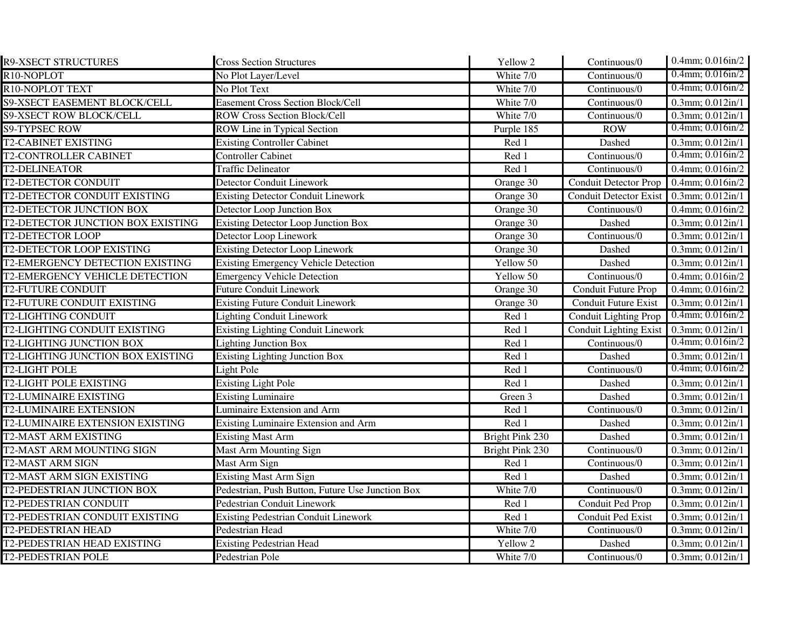| <b>R9-XSECT STRUCTURES</b>             | <b>Cross Section Structures</b>                  | Yellow 2        | Continuous/0                            | 0.4mm; 0.016in/2       |
|----------------------------------------|--------------------------------------------------|-----------------|-----------------------------------------|------------------------|
| R10-NOPLOT                             | No Plot Layer/Level                              | White 7/0       | Continuous/0                            | $0.4$ mm; $0.016$ in/2 |
| R10-NOPLOT TEXT                        | No Plot Text                                     | White 7/0       | Continuous/0                            | $0.4$ mm; $0.016$ in/2 |
| <b>S9-XSECT EASEMENT BLOCK/CELL</b>    | <b>Easement Cross Section Block/Cell</b>         | White 7/0       | Continuous/0                            | $0.3$ mm; $0.012$ in/1 |
| <b>S9-XSECT ROW BLOCK/CELL</b>         | <b>ROW Cross Section Block/Cell</b>              | White 7/0       | Continuous/0                            | $0.3$ mm; $0.012$ in/1 |
| <b>S9-TYPSEC ROW</b>                   | ROW Line in Typical Section                      | Purple 185      | ROW                                     | $0.4$ mm; $0.016$ in/2 |
| <b>T2-CABINET EXISTING</b>             | <b>Existing Controller Cabinet</b>               | Red 1           | Dashed                                  | $0.3$ mm; $0.012$ in/1 |
| <b>T2-CONTROLLER CABINET</b>           | <b>Controller Cabinet</b>                        | Red 1           | Continuous/0                            | $0.4$ mm; $0.016$ in/2 |
| <b>T2-DELINEATOR</b>                   | <b>Traffic Delineator</b>                        | Red 1           | Continuous/0                            | 0.4mm; 0.016in/2       |
| <b>T2-DETECTOR CONDUIT</b>             | Detector Conduit Linework                        | Orange 30       | Conduit Detector Prop 0.4mm; 0.016in/2  |                        |
| T2-DETECTOR CONDUIT EXISTING           | <b>Existing Detector Conduit Linework</b>        | Orange 30       | Conduit Detector Exist 0.3mm; 0.012in/1 |                        |
| <b>T2-DETECTOR JUNCTION BOX</b>        | Detector Loop Junction Box                       | Orange 30       | Continuous/0                            | 0.4mm; 0.016in/2       |
| T2-DETECTOR JUNCTION BOX EXISTING      | <b>Existing Detector Loop Junction Box</b>       | Orange 30       | Dashed                                  | $0.3$ mm; $0.012$ in/1 |
| <b>T2-DETECTOR LOOP</b>                | Detector Loop Linework                           | Orange 30       | Continuous/0                            | $0.3$ mm; $0.012$ in/1 |
| <b>T2-DETECTOR LOOP EXISTING</b>       | <b>Existing Detector Loop Linework</b>           | Orange 30       | Dashed                                  | $0.3$ mm; $0.012$ in/1 |
| T2-EMERGENCY DETECTION EXISTING        | <b>Existing Emergency Vehicle Detection</b>      | Yellow 50       | Dashed                                  | 0.3mm; 0.012in/1       |
| T2-EMERGENCY VEHICLE DETECTION         | <b>Emergency Vehicle Detection</b>               | Yellow 50       | Continuous/0                            | 0.4mm; 0.016in/2       |
| <b>T2-FUTURE CONDUIT</b>               | <b>Future Conduit Linework</b>                   | Orange 30       | <b>Conduit Future Prop</b>              | 0.4mm; 0.016in/2       |
| <b>T2-FUTURE CONDUIT EXISTING</b>      | <b>Existing Future Conduit Linework</b>          | Orange 30       | <b>Conduit Future Exist</b>             | $0.3$ mm; $0.012$ in/1 |
| <b>T2-LIGHTING CONDUIT</b>             | <b>Lighting Conduit Linework</b>                 | Red 1           | <b>Conduit Lighting Prop</b>            | $0.4$ mm; $0.016$ in/2 |
| <b>T2-LIGHTING CONDUIT EXISTING</b>    | <b>Existing Lighting Conduit Linework</b>        | Red 1           | <b>Conduit Lighting Exist</b>           | $0.3$ mm; $0.012$ in/1 |
| <b>T2-LIGHTING JUNCTION BOX</b>        | <b>Lighting Junction Box</b>                     | Red 1           | Continuous/0                            | $0.4$ mm; $0.016$ in/2 |
| T2-LIGHTING JUNCTION BOX EXISTING      | <b>Existing Lighting Junction Box</b>            | Red 1           | Dashed                                  | $0.3$ mm; $0.012$ in/1 |
| <b>T2-LIGHT POLE</b>                   | Light Pole                                       | Red 1           | Continuous/0                            | $0.4$ mm; $0.016$ in/2 |
| <b>T2-LIGHT POLE EXISTING</b>          | <b>Existing Light Pole</b>                       | Red 1           | Dashed                                  | $0.3$ mm; $0.012$ in/1 |
| <b>T2-LUMINAIRE EXISTING</b>           | Existing Luminaire                               | Green 3         | Dashed                                  | $0.3$ mm; $0.012$ in/1 |
| <b>T2-LUMINAIRE EXTENSION</b>          | Luminaire Extension and Arm                      | Red 1           | Continuous/0                            | $0.3$ mm; $0.012$ in/1 |
| <b>T2-LUMINAIRE EXTENSION EXISTING</b> | Existing Luminaire Extension and Arm             | Red 1           | Dashed                                  | $0.3$ mm; $0.012$ in/1 |
| T2-MAST ARM EXISTING                   | <b>Existing Mast Arm</b>                         | Bright Pink 230 | Dashed                                  | $0.3$ mm; $0.012$ in/1 |
| T2-MAST ARM MOUNTING SIGN              | <b>Mast Arm Mounting Sign</b>                    | Bright Pink 230 | Continuous/0                            | $0.3$ mm; $0.012$ in/1 |
| <b>T2-MAST ARM SIGN</b>                | Mast Arm Sign                                    | Red 1           | Continuous/0                            | $0.3$ mm; $0.012$ in/1 |
| <b>T2-MAST ARM SIGN EXISTING</b>       | <b>Existing Mast Arm Sign</b>                    | Red 1           | Dashed                                  | 0.3mm; 0.012in/1       |
| T2-PEDESTRIAN JUNCTION BOX             | Pedestrian, Push Button, Future Use Junction Box | White 7/0       | Continuous/0                            | $0.3$ mm; $0.012$ in/1 |
| <b>T2-PEDESTRIAN CONDUIT</b>           | <b>Pedestrian Conduit Linework</b>               | Red 1           | Conduit Ped Prop                        | $0.3$ mm; $0.012$ in/1 |
| T2-PEDESTRIAN CONDUIT EXISTING         | <b>Existing Pedestrian Conduit Linework</b>      | Red 1           | Conduit Ped Exist                       | $0.3$ mm; $0.012$ in/1 |
| <b>T2-PEDESTRIAN HEAD</b>              | Pedestrian Head                                  | White 7/0       | Continuous/0                            | $0.3$ mm; $0.012$ in/1 |
| <b>T2-PEDESTRIAN HEAD EXISTING</b>     | <b>Existing Pedestrian Head</b>                  | Yellow 2        | Dashed                                  | $0.3$ mm; $0.012$ in/1 |
| <b>T2-PEDESTRIAN POLE</b>              | Pedestrian Pole                                  | White 7/0       | Continuous/0                            | 0.3mm; 0.012in/1       |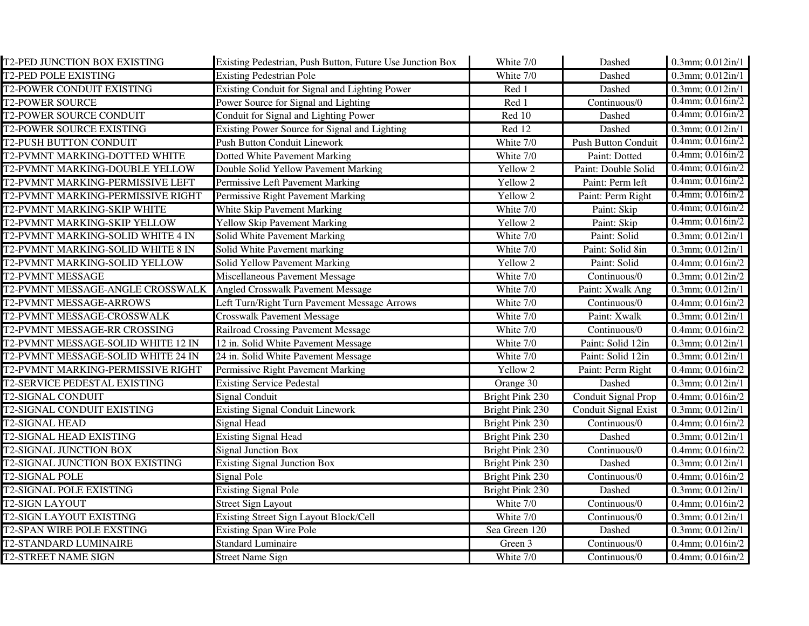| T2-PED JUNCTION BOX EXISTING           | Existing Pedestrian, Push Button, Future Use Junction Box | White 7/0       | Dashed                     | 0.3mm; 0.012in/1       |
|----------------------------------------|-----------------------------------------------------------|-----------------|----------------------------|------------------------|
| <b>T2-PED POLE EXISTING</b>            | <b>Existing Pedestrian Pole</b>                           | White 7/0       | Dashed                     | $0.3$ mm; $0.012$ in/1 |
| <b>T2-POWER CONDUIT EXISTING</b>       | Existing Conduit for Signal and Lighting Power            | Red 1           | Dashed                     | $0.3$ mm; $0.012$ in/1 |
| <b>T2-POWER SOURCE</b>                 | Power Source for Signal and Lighting                      | Red 1           | Continuous/0               | $0.4$ mm; $0.016$ in/2 |
| <b>T2-POWER SOURCE CONDUIT</b>         | Conduit for Signal and Lighting Power                     | Red 10          | Dashed                     | $0.4$ mm; $0.016$ in/2 |
| <b>T2-POWER SOURCE EXISTING</b>        | Existing Power Source for Signal and Lighting             | Red 12          | Dashed                     | $0.3$ mm; $0.012$ in/1 |
| <b>T2-PUSH BUTTON CONDUIT</b>          | <b>Push Button Conduit Linework</b>                       | White 7/0       | <b>Push Button Conduit</b> | $0.4$ mm; $0.016$ in/2 |
| T2-PVMNT MARKING-DOTTED WHITE          | Dotted White Pavement Marking                             | White 7/0       | Paint: Dotted              | $0.4$ mm; $0.016$ in/2 |
| T2-PVMNT MARKING-DOUBLE YELLOW         | Double Solid Yellow Pavement Marking                      | Yellow 2        | Paint: Double Solid        | $0.4$ mm; $0.016$ in/2 |
| T2-PVMNT MARKING-PERMISSIVE LEFT       | Permissive Left Pavement Marking                          | Yellow 2        | Paint: Perm left           | $0.4$ mm; $0.016$ in/2 |
| T2-PVMNT MARKING-PERMISSIVE RIGHT      | Permissive Right Pavement Marking                         | Yellow 2        | Paint: Perm Right          | $0.4$ mm; $0.016$ in/2 |
| T2-PVMNT MARKING-SKIP WHITE            | White Skip Pavement Marking                               | White 7/0       | Paint: Skip                | $0.4$ mm; $0.016$ in/2 |
| T2-PVMNT MARKING-SKIP YELLOW           | Yellow Skip Pavement Marking                              | Yellow 2        | Paint: Skip                | $0.4$ mm; $0.016$ in/2 |
| T2-PVMNT MARKING-SOLID WHITE 4 IN      | Solid White Pavement Marking                              | White 7/0       | Paint: Solid               | 0.3mm; 0.012in/1       |
| T2-PVMNT MARKING-SOLID WHITE 8 IN      | Solid White Pavement marking                              | White 7/0       | Paint: Solid 8in           | 0.3mm; 0.012in/1       |
| T2-PVMNT MARKING-SOLID YELLOW          | Solid Yellow Pavement Marking                             | Yellow 2        | Paint: Solid               | 0.4mm; 0.016in/2       |
| <b>T2-PVMNT MESSAGE</b>                | Miscellaneous Pavement Message                            | White 7/0       | Continuous/0               | $0.3$ mm; $0.012$ in/2 |
| T2-PVMNT MESSAGE-ANGLE CROSSWALK       | <b>Angled Crosswalk Pavement Message</b>                  | White 7/0       | Paint: Xwalk Ang           | 0.3mm; 0.012in/1       |
| T2-PVMNT MESSAGE-ARROWS                | Left Turn/Right Turn Pavement Message Arrows              | White 7/0       | Continuous/0               | $0.4$ mm; $0.016$ in/2 |
| T2-PVMNT MESSAGE-CROSSWALK             | <b>Crosswalk Pavement Message</b>                         | White 7/0       | Paint: Xwalk               | 0.3mm; 0.012in/1       |
| T2-PVMNT MESSAGE-RR CROSSING           | <b>Railroad Crossing Pavement Message</b>                 | White 7/0       | Continuous/0               | $0.4$ mm; $0.016$ in/2 |
| T2-PVMNT MESSAGE-SOLID WHITE 12 IN     | 12 in. Solid White Pavement Message                       | White 7/0       | Paint: Solid 12in          | $0.3$ mm; $0.012$ in/1 |
| T2-PVMNT MESSAGE-SOLID WHITE 24 IN     | 24 in. Solid White Pavement Message                       | White 7/0       | Paint: Solid 12in          | $0.3$ mm; $0.012$ in/1 |
| T2-PVMNT MARKING-PERMISSIVE RIGHT      | Permissive Right Pavement Marking                         | Yellow 2        | Paint: Perm Right          | $0.4$ mm; $0.016$ in/2 |
| T2-SERVICE PEDESTAL EXISTING           | <b>Existing Service Pedestal</b>                          | Orange 30       | Dashed                     | 0.3mm; 0.012in/1       |
| <b>T2-SIGNAL CONDUIT</b>               | <b>Signal Conduit</b>                                     | Bright Pink 230 | Conduit Signal Prop        | 0.4mm; 0.016in/2       |
| T2-SIGNAL CONDUIT EXISTING             | <b>Existing Signal Conduit Linework</b>                   | Bright Pink 230 | Conduit Signal Exist       | 0.3mm; 0.012in/1       |
| T2-SIGNAL HEAD                         | Signal Head                                               | Bright Pink 230 | Continuous/0               | 0.4mm; 0.016in/2       |
| T2-SIGNAL HEAD EXISTING                | <b>Existing Signal Head</b>                               | Bright Pink 230 | Dashed                     | 0.3mm; 0.012in/1       |
| <b>T2-SIGNAL JUNCTION BOX</b>          | <b>Signal Junction Box</b>                                | Bright Pink 230 | Continuous/0               | 0.4mm; 0.016in/2       |
| <b>T2-SIGNAL JUNCTION BOX EXISTING</b> | Existing Signal Junction Box                              | Bright Pink 230 | Dashed                     | 0.3mm; 0.012in/1       |
| <b>T2-SIGNAL POLE</b>                  | Signal Pole                                               | Bright Pink 230 | Continuous/0               | 0.4mm; 0.016in/2       |
| <b>T2-SIGNAL POLE EXISTING</b>         | <b>Existing Signal Pole</b>                               | Bright Pink 230 | Dashed                     | 0.3mm; 0.012in/1       |
| <b>T2-SIGN LAYOUT</b>                  | <b>Street Sign Layout</b>                                 | White 7/0       | Continuous/0               | $0.4$ mm; $0.016$ in/2 |
| <b>T2-SIGN LAYOUT EXISTING</b>         | Existing Street Sign Layout Block/Cell                    | White 7/0       | Continuous/0               | $0.3$ mm; $0.012$ in/1 |
| <b>T2-SPAN WIRE POLE EXSTING</b>       | <b>Existing Span Wire Pole</b>                            | Sea Green 120   | Dashed                     | 0.3mm; 0.012in/1       |
| T2-STANDARD LUMINAIRE                  | <b>Standard Luminaire</b>                                 | Green 3         | Continuous/0               | $0.4$ mm; $0.016$ in/2 |
| <b>T2-STREET NAME SIGN</b>             | <b>Street Name Sign</b>                                   | White 7/0       | Continuous/0               | $0.4$ mm; $0.016$ in/2 |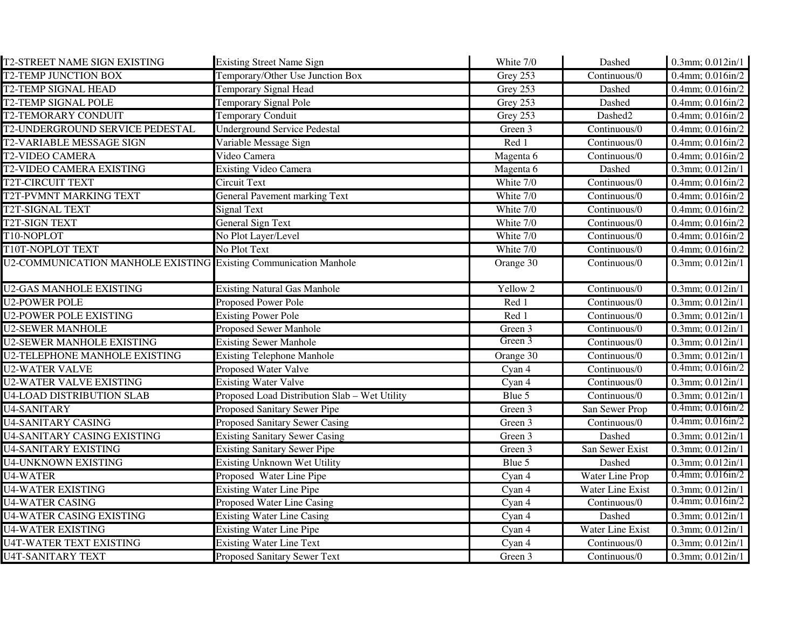| <b>T2-STREET NAME SIGN EXISTING</b>                              | <b>Existing Street Name Sign</b>              | White 7/0 | Dashed           | 0.3mm; 0.012in/1       |
|------------------------------------------------------------------|-----------------------------------------------|-----------|------------------|------------------------|
| <b>T2-TEMP JUNCTION BOX</b>                                      | Temporary/Other Use Junction Box              | Grey 253  | Continuous/0     | $0.4$ mm; $0.016$ in/2 |
| <b>T2-TEMP SIGNAL HEAD</b>                                       | <b>Temporary Signal Head</b>                  | Grey 253  | Dashed           | $0.4$ mm; $0.016$ in/2 |
| <b>T2-TEMP SIGNAL POLE</b>                                       | <b>Temporary Signal Pole</b>                  | Grey 253  | Dashed           | 0.4mm; 0.016in/2       |
| <b>T2-TEMORARY CONDUIT</b>                                       | <b>Temporary Conduit</b>                      | Grey 253  | Dashed2          | 0.4mm; 0.016in/2       |
| T2-UNDERGROUND SERVICE PEDESTAL                                  | <b>Underground Service Pedestal</b>           | Green 3   | Continuous/0     | $0.4$ mm; $0.016$ in/2 |
| <b>T2-VARIABLE MESSAGE SIGN</b>                                  | Variable Message Sign                         | Red 1     | Continuous/0     | $0.4$ mm; $0.016$ in/2 |
| <b>T2-VIDEO CAMERA</b>                                           | Video Camera                                  | Magenta 6 | Continuous/0     | $0.4$ mm; $0.016$ in/2 |
| <b>T2-VIDEO CAMERA EXISTING</b>                                  | <b>Existing Video Camera</b>                  | Magenta 6 | Dashed           | $0.3$ mm; $0.012$ in/1 |
| T2T-CIRCUIT TEXT                                                 | Circuit Text                                  | White 7/0 | Continuous/0     | 0.4mm; 0.016in/2       |
| <b>T2T-PVMNT MARKING TEXT</b>                                    | <b>General Pavement marking Text</b>          | White 7/0 | Continuous/0     | $0.4$ mm; $0.016$ in/2 |
| <b>T2T-SIGNAL TEXT</b>                                           | <b>Signal Text</b>                            | White 7/0 | Continuous/0     | $0.4$ mm; $0.016$ in/2 |
| T2T-SIGN TEXT                                                    | <b>General Sign Text</b>                      | White 7/0 | Continuous/0     | 0.4mm; 0.016in/2       |
| T10-NOPLOT                                                       | No Plot Layer/Level                           | White 7/0 | Continuous/0     | $0.4$ mm; $0.016$ in/2 |
| T10T-NOPLOT TEXT                                                 | No Plot Text                                  | White 7/0 | Continuous/0     | $0.4$ mm; $0.016$ in/2 |
| U2-COMMUNICATION MANHOLE EXISTING Existing Communication Manhole |                                               | Orange 30 | Continuous/0     | $0.3$ mm; $0.012$ in/1 |
| <b>U2-GAS MANHOLE EXISTING</b>                                   | <b>Existing Natural Gas Manhole</b>           | Yellow 2  | Continuous/0     | $0.3$ mm; $0.012$ in/1 |
| <b>U2-POWER POLE</b>                                             | <b>Proposed Power Pole</b>                    | Red 1     | Continuous/0     | $0.3$ mm; $0.012$ in/1 |
| <b>U2-POWER POLE EXISTING</b>                                    | <b>Existing Power Pole</b>                    | Red 1     | Continuous/0     | $0.3$ mm; $0.012$ in/1 |
| <b>U2-SEWER MANHOLE</b>                                          | Proposed Sewer Manhole                        | Green 3   | Continuous/0     | 0.3mm; 0.012in/1       |
| <b>U2-SEWER MANHOLE EXISTING</b>                                 | <b>Existing Sewer Manhole</b>                 | Green 3   | Continuous/0     | 0.3mm; 0.012in/1       |
| <b>U2-TELEPHONE MANHOLE EXISTING</b>                             | <b>Existing Telephone Manhole</b>             | Orange 30 | Continuous/0     | $0.3$ mm; $0.012$ in/1 |
| <b>U2-WATER VALVE</b>                                            | <b>Proposed Water Valve</b>                   | Cyan 4    | Continuous/0     | $0.4$ mm; $0.016$ in/2 |
| U2-WATER VALVE EXISTING                                          | <b>Existing Water Valve</b>                   | Cyan 4    | Continuous/0     | 0.3mm; 0.012in/1       |
| <b>U4-LOAD DISTRIBUTION SLAB</b>                                 | Proposed Load Distribution Slab - Wet Utility | Blue 5    | Continuous/0     | 0.3mm; 0.012in/1       |
| <b>U4-SANITARY</b>                                               | Proposed Sanitary Sewer Pipe                  | Green 3   | San Sewer Prop   | $0.4$ mm; $0.016$ in/2 |
| <b>U4-SANITARY CASING</b>                                        | <b>Proposed Sanitary Sewer Casing</b>         | Green 3   | Continuous/0     | $0.4$ mm; $0.016$ in/2 |
| <b>U4-SANITARY CASING EXISTING</b>                               | <b>Existing Sanitary Sewer Casing</b>         | Green 3   | Dashed           | 0.3mm; 0.012in/1       |
| <b>U4-SANITARY EXISTING</b>                                      | <b>Existing Sanitary Sewer Pipe</b>           | Green 3   | San Sewer Exist  | $0.3$ mm; $0.012$ in/1 |
| <b>U4-UNKNOWN EXISTING</b>                                       | <b>Existing Unknown Wet Utility</b>           | Blue 5    | Dashed           | 0.3mm; 0.012in/1       |
| <b>U4-WATER</b>                                                  | Proposed Water Line Pipe                      | Cyan 4    | Water Line Prop  | $0.4$ mm; $0.016$ in/2 |
| <b>U4-WATER EXISTING</b>                                         | <b>Existing Water Line Pipe</b>               | Cyan 4    | Water Line Exist | $0.3$ mm; $0.012$ in/1 |
| <b>U4-WATER CASING</b>                                           | Proposed Water Line Casing                    | Cyan 4    | Continuous/0     | $0.4$ mm; $0.016$ in/2 |
| <b>U4-WATER CASING EXISTING</b>                                  | <b>Existing Water Line Casing</b>             | Cyan 4    | Dashed           | $0.3$ mm; $0.012$ in/1 |
| <b>U4-WATER EXISTING</b>                                         | <b>Existing Water Line Pipe</b>               | Cyan 4    | Water Line Exist | $0.3$ mm; $0.012$ in/1 |
| <b>U4T-WATER TEXT EXISTING</b>                                   | <b>Existing Water Line Text</b>               | Cyan 4    | Continuous/0     | $0.3$ mm; $0.012$ in/1 |
| <b>U4T-SANITARY TEXT</b>                                         | <b>Proposed Sanitary Sewer Text</b>           | Green 3   | Continuous/0     | $0.3$ mm; $0.012$ in/1 |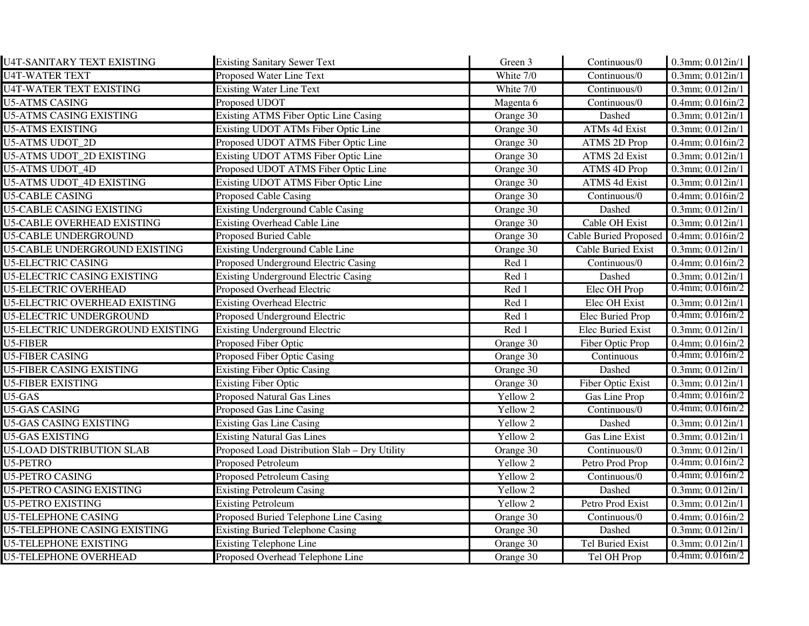| <b>U4T-SANITARY TEXT EXISTING</b>    | <b>Existing Sanitary Sewer Text</b>           | Green 3   | Continuous/0                 | 0.3mm; 0.012in/1               |
|--------------------------------------|-----------------------------------------------|-----------|------------------------------|--------------------------------|
| <b>U4T-WATER TEXT</b>                | Proposed Water Line Text                      | White 7/0 | Continuous/0                 | 0.3mm; 0.012in/1               |
| <b>U4T-WATER TEXT EXISTING</b>       | <b>Existing Water Line Text</b>               | White 7/0 | Continuous/0                 | 0.3mm; 0.012in/1               |
| <b>U5-ATMS CASING</b>                | Proposed UDOT                                 | Magenta 6 | Continuous/0                 | $0.4$ mm; $0.016$ in/2         |
| <b>U5-ATMS CASING EXISTING</b>       | <b>Existing ATMS Fiber Optic Line Casing</b>  | Orange 30 | Dashed                       | $0.3$ mm; $0.012$ in/1         |
| <b>U5-ATMS EXISTING</b>              | Existing UDOT ATMs Fiber Optic Line           | Orange 30 | ATMs 4d Exist                | 0.3mm; 0.012in/1               |
| <b>U5-ATMS UDOT 2D</b>               | Proposed UDOT ATMS Fiber Optic Line           | Orange 30 | <b>ATMS 2D Prop</b>          | $0.4$ mm; $0.016$ in/2         |
| <b>U5-ATMS UDOT 2D EXISTING</b>      | Existing UDOT ATMS Fiber Optic Line           | Orange 30 | <b>ATMS 2d Exist</b>         | $0.3$ mm; $0.012$ in/1         |
| <b>U5-ATMS UDOT 4D</b>               | Proposed UDOT ATMS Fiber Optic Line           | Orange 30 | <b>ATMS 4D Prop</b>          | $0.3$ mm; $0.012$ in/1         |
| <b>U5-ATMS UDOT 4D EXISTING</b>      | Existing UDOT ATMS Fiber Optic Line           | Orange 30 | <b>ATMS 4d Exist</b>         | 0.3mm; 0.012in/1               |
| <b>U5-CABLE CASING</b>               | <b>Proposed Cable Casing</b>                  | Orange 30 | Continuous/0                 | $0.4$ mm; $0.016$ in/2         |
| <b>U5-CABLE CASING EXISTING</b>      | <b>Existing Underground Cable Casing</b>      | Orange 30 | Dashed                       | 0.3mm; 0.012in/1               |
| <b>U5-CABLE OVERHEAD EXISTING</b>    | <b>Existing Overhead Cable Line</b>           | Orange 30 | Cable OH Exist               | 0.3mm; 0.012in/1               |
| <b>U5-CABLE UNDERGROUND</b>          | Proposed Buried Cable                         | Orange 30 | <b>Cable Buried Proposed</b> | $0.4$ mm; $0.016$ in/2         |
| <b>U5-CABLE UNDERGROUND EXISTING</b> | <b>Existing Underground Cable Line</b>        | Orange 30 | Cable Buried Exist           | $0.3$ mm; $0.012$ in/1         |
| <b>U5-ELECTRIC CASING</b>            | Proposed Underground Electric Casing          | Red 1     | Continuous/0                 | 0.4mm; 0.016in/2               |
| <b>U5-ELECTRIC CASING EXISTING</b>   | <b>Existing Underground Electric Casing</b>   | Red 1     | Dashed                       | 0.3mm; 0.012in/1               |
| <b>U5-ELECTRIC OVERHEAD</b>          | Proposed Overhead Electric                    | Red 1     | Elec OH Prop                 | $0.4$ mm; $0.016$ in/2         |
| <b>U5-ELECTRIC OVERHEAD EXISTING</b> | <b>Existing Overhead Electric</b>             | Red 1     | Elec OH Exist                | $0.3$ mm; $0.012$ in/1         |
| <b>U5-ELECTRIC UNDERGROUND</b>       | Proposed Underground Electric                 | Red 1     | Elec Buried Prop             | $0.4$ mm; $0.016$ in/2         |
| U5-ELECTRIC UNDERGROUND EXISTING     | <b>Existing Underground Electric</b>          | Red 1     | <b>Elec Buried Exist</b>     | $0.3$ mm; $0.012$ in/1         |
| $U5$ -FIBER                          | <b>Proposed Fiber Optic</b>                   | Orange 30 | Fiber Optic Prop             | $0.4$ mm; $0.016$ in/2         |
| <b>U5-FIBER CASING</b>               | Proposed Fiber Optic Casing                   | Orange 30 | Continuous                   | $0.4$ mm; $0.016$ in/2         |
| <b>U5-FIBER CASING EXISTING</b>      | <b>Existing Fiber Optic Casing</b>            | Orange 30 | Dashed                       | 0.3mm; 0.012in/1               |
| <b>U5-FIBER EXISTING</b>             | <b>Existing Fiber Optic</b>                   | Orange 30 | <b>Fiber Optic Exist</b>     | 0.3mm; 0.012in/1               |
| U5-GAS                               | <b>Proposed Natural Gas Lines</b>             | Yellow 2  | Gas Line Prop                | $0.4$ mm; $0.016$ in/2         |
| <b>U5-GAS CASING</b>                 | Proposed Gas Line Casing                      | Yellow 2  | Continuous/0                 | $0.4$ mm; $0.016$ in/2         |
| <b>U5-GAS CASING EXISTING</b>        | <b>Existing Gas Line Casing</b>               | Yellow 2  | Dashed                       | 0.3mm; 0.012in/1               |
| <b>U5-GAS EXISTING</b>               | <b>Existing Natural Gas Lines</b>             | Yellow 2  | Gas Line Exist               | 0.3mm; 0.012in/1               |
| <b>U5-LOAD DISTRIBUTION SLAB</b>     | Proposed Load Distribution Slab - Dry Utility | Orange 30 | Continuous/0                 | 0.3mm; 0.012in/1               |
| U5-PETRO                             | Proposed Petroleum                            | Yellow 2  | Petro Prod Prop              | $0.4$ mm; $0.016$ in/2         |
| <b>U5-PETRO CASING</b>               | <b>Proposed Petroleum Casing</b>              | Yellow 2  | Continuous/0                 | $0.4$ mm; $0.016$ in/2         |
| U5-PETRO CASING EXISTING             | <b>Existing Petroleum Casing</b>              | Yellow 2  | Dashed                       | $0.3$ mm; $0.012$ in/1         |
| <b>U5-PETRO EXISTING</b>             | <b>Existing Petroleum</b>                     | Yellow 2  | Petro Prod Exist             | $0.3$ mm; $0.012$ in/1         |
| <b>U5-TELEPHONE CASING</b>           | Proposed Buried Telephone Line Casing         | Orange 30 | Continuous/0                 | $0.4$ mm; $0.016$ in/2         |
| <b>U5-TELEPHONE CASING EXISTING</b>  | <b>Existing Buried Telephone Casing</b>       | Orange 30 | Dashed                       | 0.3mm; 0.012in/1               |
| <b>U5-TELEPHONE EXISTING</b>         | <b>Existing Telephone Line</b>                | Orange 30 | Tel Buried Exist             | 0.3mm; $\overline{0.012}$ in/1 |
| <b>U5-TELEPHONE OVERHEAD</b>         | Proposed Overhead Telephone Line              | Orange 30 | Tel OH Prop                  | $0.4$ mm; $0.016$ in/2         |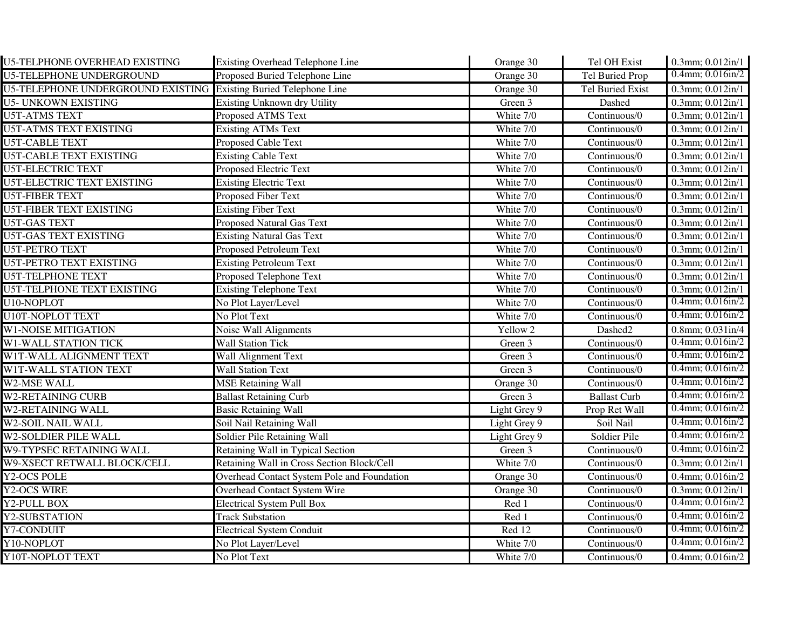| <b>U5-TELPHONE OVERHEAD EXISTING</b>                             | <b>Existing Overhead Telephone Line</b>     | Orange 30           | Tel OH Exist                      | $0.3$ mm; $0.012$ in/1         |
|------------------------------------------------------------------|---------------------------------------------|---------------------|-----------------------------------|--------------------------------|
| <b>U5-TELEPHONE UNDERGROUND</b>                                  | Proposed Buried Telephone Line              | Orange 30           | <b>Tel Buried Prop</b>            | $0.4$ mm; $0.016$ in/2         |
| U5-TELEPHONE UNDERGROUND EXISTING Existing Buried Telephone Line |                                             | Orange 30           | Tel Buried Exist                  | $0.3$ mm; $0.012$ in/1         |
| <b>U5- UNKOWN EXISTING</b>                                       | Existing Unknown dry Utility                | Green 3             | Dashed                            | 0.3mm; 0.012in/1               |
| <b>U5T-ATMS TEXT</b>                                             | Proposed ATMS Text                          | White 7/0           | Continuous/0                      | $0.3$ mm; $0.012$ in/1         |
| <b>U5T-ATMS TEXT EXISTING</b>                                    | <b>Existing ATMs Text</b>                   | White 7/0           | Continuous/0                      | $0.3$ mm; $0.012$ in/1         |
| <b>U5T-CABLE TEXT</b>                                            | Proposed Cable Text                         | White 7/0           | Continuous/0                      | 0.3mm; 0.012in/1               |
| <b>U5T-CABLE TEXT EXISTING</b>                                   | <b>Existing Cable Text</b>                  | White 7/0           | Continuous/0                      | $0.3$ mm; $0.012$ in/1         |
| <b>U5T-ELECTRIC TEXT</b>                                         | Proposed Electric Text                      | White 7/0           | Continuous/0                      | $0.3$ mm; $0.012$ in/1         |
| <b>U5T-ELECTRIC TEXT EXISTING</b>                                | <b>Existing Electric Text</b>               | White 7/0           | Continuous/0                      | $0.3$ mm; $0.012$ in/1         |
| <b>U5T-FIBER TEXT</b>                                            | Proposed Fiber Text                         | White 7/0           | Continuous/0                      | 0.3mm; 0.012in/1               |
| <b>U5T-FIBER TEXT EXISTING</b>                                   | <b>Existing Fiber Text</b>                  | White 7/0           | Continuous/0                      | $0.3$ mm; $0.012$ in/1         |
| <b>U5T-GAS TEXT</b>                                              | <b>Proposed Natural Gas Text</b>            | White 7/0           | Continuous/0                      | 0.3mm; 0.012in/1               |
| <b>U5T-GAS TEXT EXISTING</b>                                     | <b>Existing Natural Gas Text</b>            | White 7/0           | Continuous/0                      | 0.3mm; 0.012in/1               |
| <b>U5T-PETRO TEXT</b>                                            | <b>Proposed Petroleum Text</b>              | White 7/0           | Continuous/0                      | 0.3mm; $0.012$ in/1            |
| <b>U5T-PETRO TEXT EXISTING</b>                                   | <b>Existing Petroleum Text</b>              | White 7/0           | Continuous/0                      | 0.3mm; 0.012in/1               |
| <b>U5T-TELPHONE TEXT</b>                                         | Proposed Telephone Text                     | White 7/0           | Continuous/0                      | $0.3$ mm; $0.012$ in/1         |
| U5T-TELPHONE TEXT EXISTING                                       | <b>Existing Telephone Text</b>              | White 7/0           | Continuous/0                      | 0.3mm; 0.012in/1               |
| U10-NOPLOT                                                       | No Plot Layer/Level                         | White 7/0           | Continuous/0                      | $0.4$ mm; $0.016$ in/2         |
| <b>U10T-NOPLOT TEXT</b>                                          | No Plot Text                                | White 7/0           | Continuous/0                      | $0.4$ mm; $0.016$ in/2         |
| <b>W1-NOISE MITIGATION</b>                                       | Noise Wall Alignments                       | Yellow <sub>2</sub> | Dashed2                           | $\overline{0.8}$ mm; 0.031in/4 |
| <b>W1-WALL STATION TICK</b>                                      | <b>Wall Station Tick</b>                    | Green 3             | $\overline{\text{Continuous}}$ /0 | $0.4$ mm; $0.016$ in/2         |
| W1T-WALL ALIGNMENT TEXT                                          | <b>Wall Alignment Text</b>                  | Green 3             | Continuous/0                      | $0.4$ mm; $0.016$ in/2         |
| W1T-WALL STATION TEXT                                            | <b>Wall Station Text</b>                    | Green 3             | Continuous/0                      | $0.4$ mm; $0.016$ in/2         |
| W2-MSE WALL                                                      | <b>MSE Retaining Wall</b>                   | Orange 30           | Continuous/0                      | $0.4$ mm; $0.016$ in/2         |
| <b>W2-RETAINING CURB</b>                                         | <b>Ballast Retaining Curb</b>               | Green 3             | <b>Ballast Curb</b>               | $0.4$ mm; $0.016$ in/2         |
| W2-RETAINING WALL                                                | <b>Basic Retaining Wall</b>                 | Light Grey 9        | Prop Ret Wall                     | $0.4$ mm; $0.016$ in/2         |
| <b>W2-SOIL NAIL WALL</b>                                         | Soil Nail Retaining Wall                    | Light Grey 9        | Soil Nail                         | $0.4$ mm; $0.016$ in/2         |
| W2-SOLDIER PILE WALL                                             | Soldier Pile Retaining Wall                 | Light Grey 9        | Soldier Pile                      | $0.4$ mm; $0.016$ in/2         |
| <b>W9-TYPSEC RETAINING WALL</b>                                  | Retaining Wall in Typical Section           | Green 3             | Continuous/0                      | $0.4$ mm; $0.016$ in/2         |
| W9-XSECT RETWALL BLOCK/CELL                                      | Retaining Wall in Cross Section Block/Cell  | White 7/0           | Continuous/0                      | 0.3mm; 0.012in/1               |
| Y2-OCS POLE                                                      | Overhead Contact System Pole and Foundation | Orange 30           | Continuous/0                      | 0.4mm; 0.016in/2               |
| Y2-OCS WIRE                                                      | Overhead Contact System Wire                | Orange 30           | Continuous/0                      | 0.3mm; 0.012in/1               |
| Y2-PULL BOX                                                      | <b>Electrical System Pull Box</b>           | Red 1               | Continuous/0                      | $0.4$ mm; $0.016$ in/2         |
| Y2-SUBSTATION                                                    | <b>Track Substation</b>                     | Red 1               | Continuous/0                      | $0.4$ mm; $0.016$ in/2         |
| Y7-CONDUIT                                                       | <b>Electrical System Conduit</b>            | Red 12              | Continuous/0                      | $0.4$ mm; $0.016$ in/2         |
| Y10-NOPLOT                                                       | No Plot Layer/Level                         | White 7/0           | Continuous/0                      | $0.4$ mm; $0.016$ in/2         |
| Y10T-NOPLOT TEXT                                                 | No Plot Text                                | White 7/0           | Continuous/0                      | $0.4$ mm; $0.016$ in/2         |